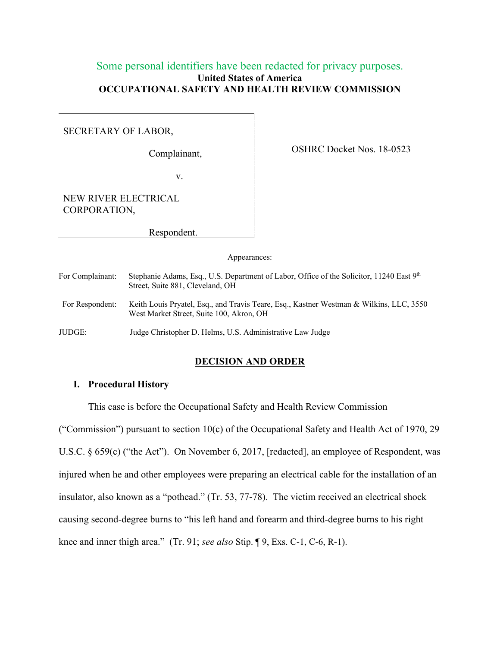## Some personal identifiers have been redacted for privacy purposes. **United States of America OCCUPATIONAL SAFETY AND HEALTH REVIEW COMMISSION**

## SECRETARY OF LABOR,

Complainant,

OSHRC Docket Nos. 18-0523

v.

NEW RIVER ELECTRICAL CORPORATION,

Respondent.

Appearances:

| For Complainant: | Stephanie Adams, Esq., U.S. Department of Labor, Office of the Solicitor, 11240 East 9th<br>Street, Suite 881, Cleveland, OH        |
|------------------|-------------------------------------------------------------------------------------------------------------------------------------|
| For Respondent:  | Keith Louis Pryatel, Esq., and Travis Teare, Esq., Kastner Westman & Wilkins, LLC, 3550<br>West Market Street, Suite 100, Akron, OH |
| JUDGE:           | Judge Christopher D. Helms, U.S. Administrative Law Judge                                                                           |

## **DECISION AND ORDER**

## **I. Procedural History**

This case is before the Occupational Safety and Health Review Commission

("Commission") pursuant to section 10(c) of the Occupational Safety and Health Act of 1970, 29 U.S.C. § 659(c) ("the Act"). On November 6, 2017, [redacted], an employee of Respondent, was injured when he and other employees were preparing an electrical cable for the installation of an insulator, also known as a "pothead." (Tr. 53, 77-78). The victim received an electrical shock causing second-degree burns to "his left hand and forearm and third-degree burns to his right knee and inner thigh area." (Tr. 91; *see also* Stip. ¶ 9, Exs. C-1, C-6, R-1).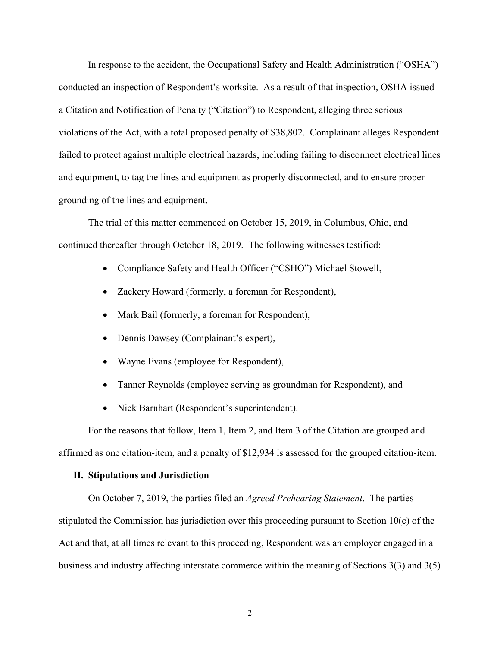In response to the accident, the Occupational Safety and Health Administration ("OSHA") conducted an inspection of Respondent's worksite. As a result of that inspection, OSHA issued a Citation and Notification of Penalty ("Citation") to Respondent, alleging three serious violations of the Act, with a total proposed penalty of \$38,802. Complainant alleges Respondent failed to protect against multiple electrical hazards, including failing to disconnect electrical lines and equipment, to tag the lines and equipment as properly disconnected, and to ensure proper grounding of the lines and equipment.

The trial of this matter commenced on October 15, 2019, in Columbus, Ohio, and continued thereafter through October 18, 2019. The following witnesses testified:

- Compliance Safety and Health Officer ("CSHO") Michael Stowell,
- Zackery Howard (formerly, a foreman for Respondent),
- Mark Bail (formerly, a foreman for Respondent),
- Dennis Dawsey (Complainant's expert),
- Wayne Evans (employee for Respondent),
- Tanner Reynolds (employee serving as groundman for Respondent), and
- Nick Barnhart (Respondent's superintendent).

 For the reasons that follow, Item 1, Item 2, and Item 3 of the Citation are grouped and affirmed as one citation-item, and a penalty of \$12,934 is assessed for the grouped citation-item.

## **II. Stipulations and Jurisdiction**

On October 7, 2019, the parties filed an *Agreed Prehearing Statement*. The parties stipulated the Commission has jurisdiction over this proceeding pursuant to Section 10(c) of the Act and that, at all times relevant to this proceeding, Respondent was an employer engaged in a business and industry affecting interstate commerce within the meaning of Sections 3(3) and 3(5)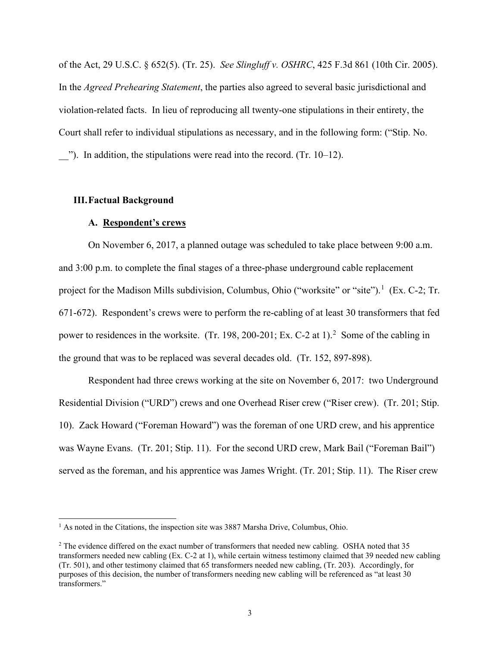of the Act, 29 U.S.C. § 652(5). (Tr. 25). *See Slingluff v. OSHRC*, 425 F.3d 861 (10th Cir. 2005). In the *Agreed Prehearing Statement*, the parties also agreed to several basic jurisdictional and violation-related facts. In lieu of reproducing all twenty-one stipulations in their entirety, the Court shall refer to individual stipulations as necessary, and in the following form: ("Stip. No.  $\dddot{\,}$ "). In addition, the stipulations were read into the record. (Tr. 10–12).

#### **III.Factual Background**

## **A. Respondent's crews**

 On November 6, 2017, a planned outage was scheduled to take place between 9:00 a.m. and 3:00 p.m. to complete the final stages of a three-phase underground cable replacement project for the Madison Mills subdivision, Columbus, Ohio ("worksite" or "site").<sup>[1](#page-2-0)</sup> (Ex. C-2; Tr. 671-672). Respondent's crews were to perform the re-cabling of at least 30 transformers that fed power to residences in the worksite. (Tr. 198, [2](#page-2-1)00-201; Ex. C-2 at 1).<sup>2</sup> Some of the cabling in the ground that was to be replaced was several decades old. (Tr. 152, 897-898).

Respondent had three crews working at the site on November 6, 2017: two Underground Residential Division ("URD") crews and one Overhead Riser crew ("Riser crew). (Tr. 201; Stip. 10). Zack Howard ("Foreman Howard") was the foreman of one URD crew, and his apprentice was Wayne Evans. (Tr. 201; Stip. 11). For the second URD crew, Mark Bail ("Foreman Bail") served as the foreman, and his apprentice was James Wright. (Tr. 201; Stip. 11). The Riser crew

<span id="page-2-0"></span> $<sup>1</sup>$  As noted in the Citations, the inspection site was 3887 Marsha Drive, Columbus, Ohio.</sup>

<span id="page-2-1"></span><sup>&</sup>lt;sup>2</sup> The evidence differed on the exact number of transformers that needed new cabling. OSHA noted that 35 transformers needed new cabling (Ex. C-2 at 1), while certain witness testimony claimed that 39 needed new cabling (Tr. 501), and other testimony claimed that 65 transformers needed new cabling, (Tr. 203). Accordingly, for purposes of this decision, the number of transformers needing new cabling will be referenced as "at least 30 transformers."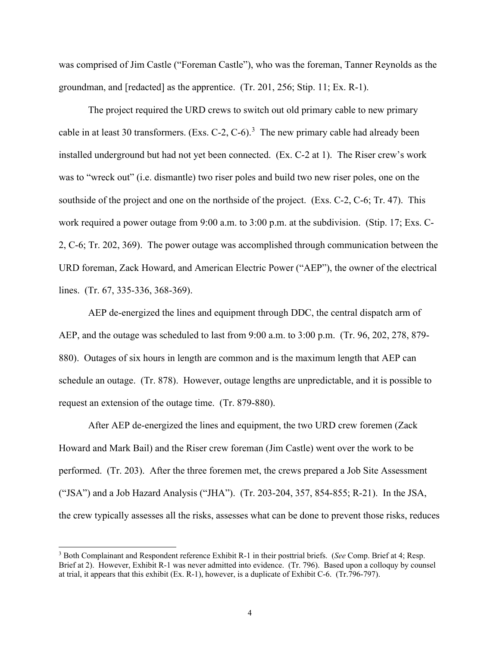was comprised of Jim Castle ("Foreman Castle"), who was the foreman, Tanner Reynolds as the groundman, and [redacted] as the apprentice. (Tr. 201, 256; Stip. 11; Ex. R-1).

The project required the URD crews to switch out old primary cable to new primary cable in at least [3](#page-3-0)0 transformers. (Exs. C-2, C-6).<sup>3</sup> The new primary cable had already been installed underground but had not yet been connected. (Ex. C-2 at 1). The Riser crew's work was to "wreck out" (i.e. dismantle) two riser poles and build two new riser poles, one on the southside of the project and one on the northside of the project. (Exs. C-2, C-6; Tr. 47). This work required a power outage from 9:00 a.m. to 3:00 p.m. at the subdivision. (Stip. 17; Exs. C-2, C-6; Tr. 202, 369). The power outage was accomplished through communication between the URD foreman, Zack Howard, and American Electric Power ("AEP"), the owner of the electrical lines. (Tr. 67, 335-336, 368-369).

AEP de-energized the lines and equipment through DDC, the central dispatch arm of AEP, and the outage was scheduled to last from 9:00 a.m. to 3:00 p.m. (Tr. 96, 202, 278, 879- 880). Outages of six hours in length are common and is the maximum length that AEP can schedule an outage. (Tr. 878). However, outage lengths are unpredictable, and it is possible to request an extension of the outage time. (Tr. 879-880).

After AEP de-energized the lines and equipment, the two URD crew foremen (Zack Howard and Mark Bail) and the Riser crew foreman (Jim Castle) went over the work to be performed. (Tr. 203). After the three foremen met, the crews prepared a Job Site Assessment ("JSA") and a Job Hazard Analysis ("JHA"). (Tr. 203-204, 357, 854-855; R-21). In the JSA, the crew typically assesses all the risks, assesses what can be done to prevent those risks, reduces

<span id="page-3-0"></span><sup>3</sup> Both Complainant and Respondent reference Exhibit R-1 in their posttrial briefs. (*See* Comp. Brief at 4; Resp. Brief at 2). However, Exhibit R-1 was never admitted into evidence. (Tr. 796). Based upon a colloquy by counsel at trial, it appears that this exhibit (Ex. R-1), however, is a duplicate of Exhibit C-6. (Tr.796-797).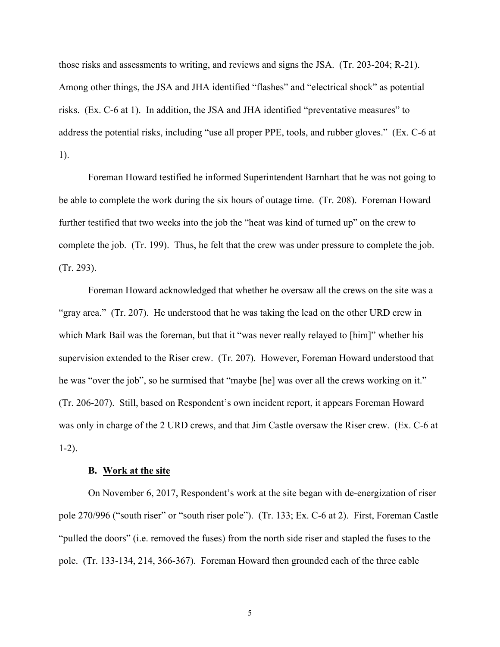those risks and assessments to writing, and reviews and signs the JSA. (Tr. 203-204; R-21). Among other things, the JSA and JHA identified "flashes" and "electrical shock" as potential risks. (Ex. C-6 at 1). In addition, the JSA and JHA identified "preventative measures" to address the potential risks, including "use all proper PPE, tools, and rubber gloves." (Ex. C-6 at 1).

 Foreman Howard testified he informed Superintendent Barnhart that he was not going to be able to complete the work during the six hours of outage time. (Tr. 208). Foreman Howard further testified that two weeks into the job the "heat was kind of turned up" on the crew to complete the job. (Tr. 199). Thus, he felt that the crew was under pressure to complete the job. (Tr. 293).

Foreman Howard acknowledged that whether he oversaw all the crews on the site was a "gray area." (Tr. 207). He understood that he was taking the lead on the other URD crew in which Mark Bail was the foreman, but that it "was never really relayed to [him]" whether his supervision extended to the Riser crew. (Tr. 207). However, Foreman Howard understood that he was "over the job", so he surmised that "maybe [he] was over all the crews working on it." (Tr. 206-207). Still, based on Respondent's own incident report, it appears Foreman Howard was only in charge of the 2 URD crews, and that Jim Castle oversaw the Riser crew. (Ex. C-6 at 1-2).

#### **B. Work at the site**

 On November 6, 2017, Respondent's work at the site began with de-energization of riser pole 270/996 ("south riser" or "south riser pole"). (Tr. 133; Ex. C-6 at 2). First, Foreman Castle "pulled the doors" (i.e. removed the fuses) from the north side riser and stapled the fuses to the pole. (Tr. 133-134, 214, 366-367). Foreman Howard then grounded each of the three cable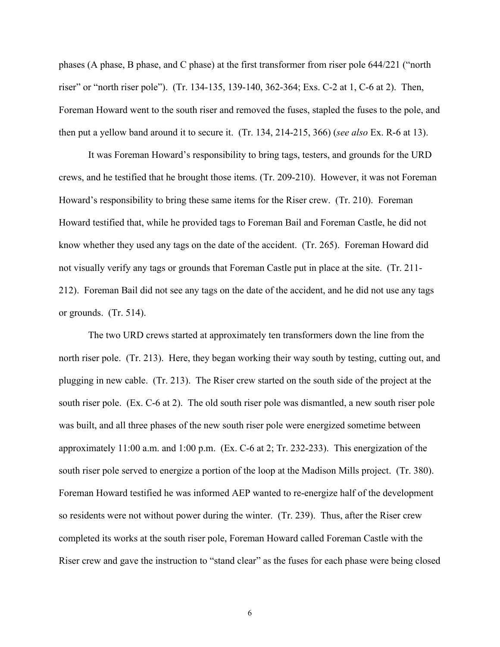phases (A phase, B phase, and C phase) at the first transformer from riser pole 644/221 ("north riser" or "north riser pole"). (Tr. 134-135, 139-140, 362-364; Exs. C-2 at 1, C-6 at 2). Then, Foreman Howard went to the south riser and removed the fuses, stapled the fuses to the pole, and then put a yellow band around it to secure it. (Tr. 134, 214-215, 366) (*see also* Ex. R-6 at 13).

 It was Foreman Howard's responsibility to bring tags, testers, and grounds for the URD crews, and he testified that he brought those items. (Tr. 209-210). However, it was not Foreman Howard's responsibility to bring these same items for the Riser crew. (Tr. 210). Foreman Howard testified that, while he provided tags to Foreman Bail and Foreman Castle, he did not know whether they used any tags on the date of the accident. (Tr. 265). Foreman Howard did not visually verify any tags or grounds that Foreman Castle put in place at the site. (Tr. 211- 212). Foreman Bail did not see any tags on the date of the accident, and he did not use any tags or grounds. (Tr. 514).

The two URD crews started at approximately ten transformers down the line from the north riser pole. (Tr. 213). Here, they began working their way south by testing, cutting out, and plugging in new cable. (Tr. 213). The Riser crew started on the south side of the project at the south riser pole. (Ex. C-6 at 2). The old south riser pole was dismantled, a new south riser pole was built, and all three phases of the new south riser pole were energized sometime between approximately 11:00 a.m. and 1:00 p.m. (Ex. C-6 at 2; Tr. 232-233). This energization of the south riser pole served to energize a portion of the loop at the Madison Mills project. (Tr. 380). Foreman Howard testified he was informed AEP wanted to re-energize half of the development so residents were not without power during the winter. (Tr. 239). Thus, after the Riser crew completed its works at the south riser pole, Foreman Howard called Foreman Castle with the Riser crew and gave the instruction to "stand clear" as the fuses for each phase were being closed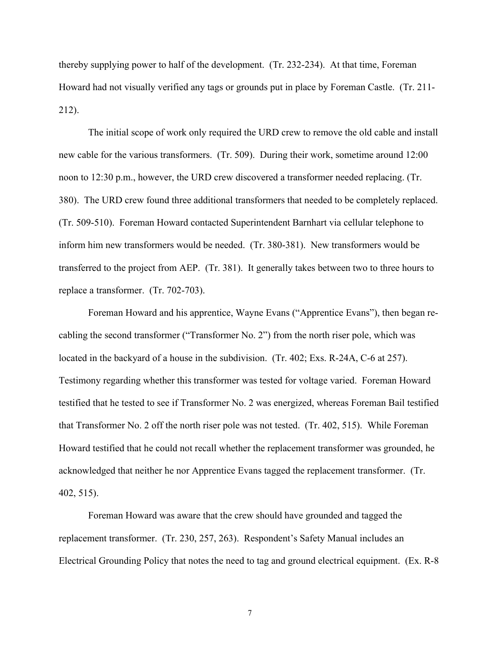thereby supplying power to half of the development. (Tr. 232-234). At that time, Foreman Howard had not visually verified any tags or grounds put in place by Foreman Castle. (Tr. 211- 212).

 The initial scope of work only required the URD crew to remove the old cable and install new cable for the various transformers. (Tr. 509). During their work, sometime around 12:00 noon to 12:30 p.m., however, the URD crew discovered a transformer needed replacing. (Tr. 380). The URD crew found three additional transformers that needed to be completely replaced. (Tr. 509-510). Foreman Howard contacted Superintendent Barnhart via cellular telephone to inform him new transformers would be needed. (Tr. 380-381). New transformers would be transferred to the project from AEP. (Tr. 381). It generally takes between two to three hours to replace a transformer. (Tr. 702-703).

 Foreman Howard and his apprentice, Wayne Evans ("Apprentice Evans"), then began recabling the second transformer ("Transformer No. 2") from the north riser pole, which was located in the backyard of a house in the subdivision. (Tr. 402; Exs. R-24A, C-6 at 257). Testimony regarding whether this transformer was tested for voltage varied. Foreman Howard testified that he tested to see if Transformer No. 2 was energized, whereas Foreman Bail testified that Transformer No. 2 off the north riser pole was not tested. (Tr. 402, 515). While Foreman Howard testified that he could not recall whether the replacement transformer was grounded, he acknowledged that neither he nor Apprentice Evans tagged the replacement transformer. (Tr. 402, 515).

 Foreman Howard was aware that the crew should have grounded and tagged the replacement transformer. (Tr. 230, 257, 263). Respondent's Safety Manual includes an Electrical Grounding Policy that notes the need to tag and ground electrical equipment. (Ex. R-8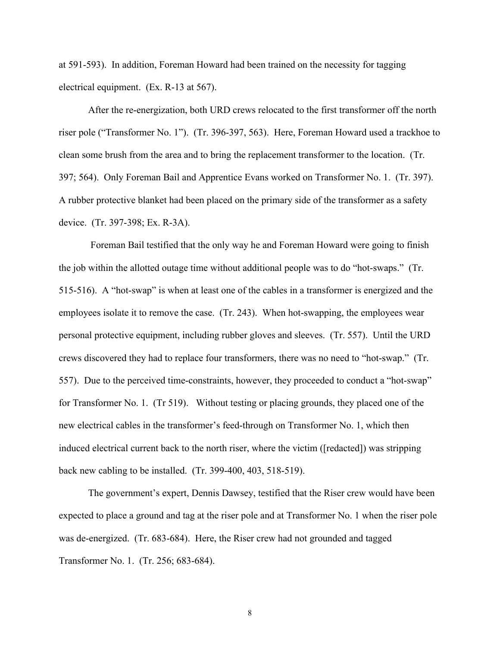at 591-593). In addition, Foreman Howard had been trained on the necessity for tagging electrical equipment. (Ex. R-13 at 567).

After the re-energization, both URD crews relocated to the first transformer off the north riser pole ("Transformer No. 1"). (Tr. 396-397, 563). Here, Foreman Howard used a trackhoe to clean some brush from the area and to bring the replacement transformer to the location. (Tr. 397; 564). Only Foreman Bail and Apprentice Evans worked on Transformer No. 1. (Tr. 397). A rubber protective blanket had been placed on the primary side of the transformer as a safety device. (Tr. 397-398; Ex. R-3A).

 Foreman Bail testified that the only way he and Foreman Howard were going to finish the job within the allotted outage time without additional people was to do "hot-swaps." (Tr. 515-516). A "hot-swap" is when at least one of the cables in a transformer is energized and the employees isolate it to remove the case. (Tr. 243). When hot-swapping, the employees wear personal protective equipment, including rubber gloves and sleeves. (Tr. 557). Until the URD crews discovered they had to replace four transformers, there was no need to "hot-swap." (Tr. 557). Due to the perceived time-constraints, however, they proceeded to conduct a "hot-swap" for Transformer No. 1. (Tr 519). Without testing or placing grounds, they placed one of the new electrical cables in the transformer's feed-through on Transformer No. 1, which then induced electrical current back to the north riser, where the victim ([redacted]) was stripping back new cabling to be installed. (Tr. 399-400, 403, 518-519).

 The government's expert, Dennis Dawsey, testified that the Riser crew would have been expected to place a ground and tag at the riser pole and at Transformer No. 1 when the riser pole was de-energized. (Tr. 683-684). Here, the Riser crew had not grounded and tagged Transformer No. 1. (Tr. 256; 683-684).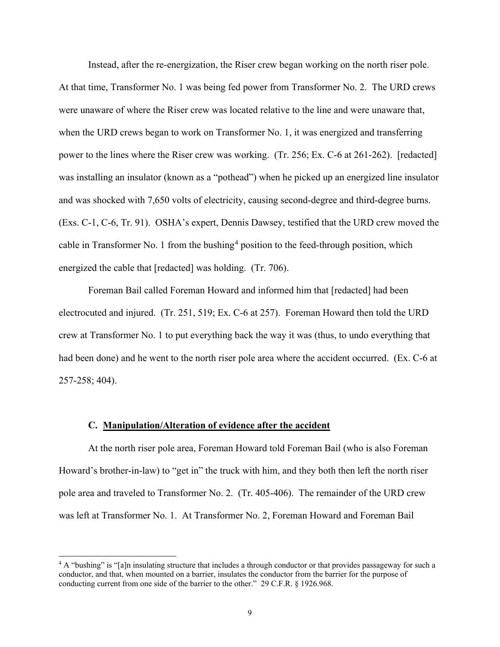Instead, after the re-energization, the Riser crew began working on the north riser pole. At that time, Transformer No. 1 was being fed power from Transformer No. 2. The URD crews were unaware of where the Riser crew was located relative to the line and were unaware that, when the URD crews began to work on Transformer No. 1, it was energized and transferring power to the lines where the Riser crew was working. (Tr. 256; Ex. C-6 at 261-262). [redacted] was installing an insulator (known as a "pothead") when he picked up an energized line insulator and was shocked with 7,650 volts of electricity, causing second-degree and third-degree burns. (Exs. C-1, C-6, Tr. 91). OSHA's expert, Dennis Dawsey, testified that the URD crew moved the cable in Transformer No. 1 from the bushing<sup>[4](#page-8-0)</sup> position to the feed-through position, which energized the cable that [redacted] was holding. (Tr. 706).

Foreman Bail called Foreman Howard and informed him that [redacted] had been electrocuted and injured. (Tr. 251, 519; Ex. C-6 at 257). Foreman Howard then told the URD crew at Transformer No. 1 to put everything back the way it was (thus, to undo everything that had been done) and he went to the north riser pole area where the accident occurred. (Ex. C-6 at 257-258; 404).

## **C. Manipulation/Alteration of evidence after the accident**

 At the north riser pole area, Foreman Howard told Foreman Bail (who is also Foreman Howard's brother-in-law) to "get in" the truck with him, and they both then left the north riser pole area and traveled to Transformer No. 2. (Tr. 405-406). The remainder of the URD crew was left at Transformer No. 1. At Transformer No. 2, Foreman Howard and Foreman Bail

<span id="page-8-0"></span><sup>4</sup> A "bushing" is "[a]n insulating structure that includes a through conductor or that provides passageway for such a conductor, and that, when mounted on a barrier, insulates the conductor from the barrier for the purpose of conducting current from one side of the barrier to the other." 29 C.F.R. § 1926.968.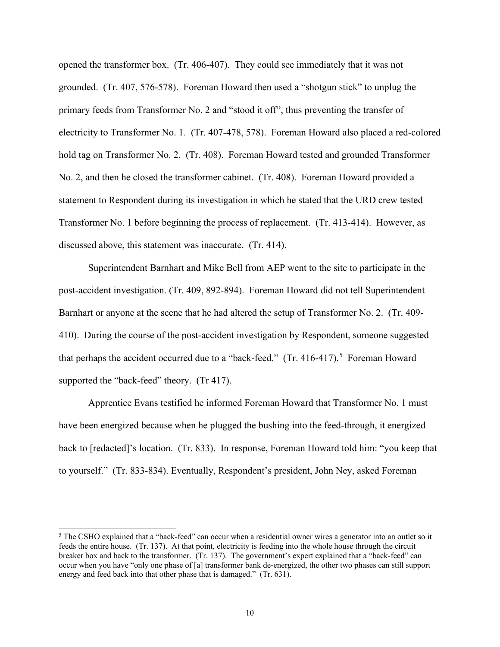opened the transformer box. (Tr. 406-407). They could see immediately that it was not grounded. (Tr. 407, 576-578). Foreman Howard then used a "shotgun stick" to unplug the primary feeds from Transformer No. 2 and "stood it off", thus preventing the transfer of electricity to Transformer No. 1. (Tr. 407-478, 578). Foreman Howard also placed a red-colored hold tag on Transformer No. 2. (Tr. 408). Foreman Howard tested and grounded Transformer No. 2, and then he closed the transformer cabinet. (Tr. 408). Foreman Howard provided a statement to Respondent during its investigation in which he stated that the URD crew tested Transformer No. 1 before beginning the process of replacement. (Tr. 413-414). However, as discussed above, this statement was inaccurate. (Tr. 414).

 Superintendent Barnhart and Mike Bell from AEP went to the site to participate in the post-accident investigation. (Tr. 409, 892-894). Foreman Howard did not tell Superintendent Barnhart or anyone at the scene that he had altered the setup of Transformer No. 2. (Tr. 409- 410). During the course of the post-accident investigation by Respondent, someone suggested that perhaps the accident occurred due to a "back-feed."  $(Tr. 416-417).$ <sup>[5](#page-9-0)</sup> Foreman Howard supported the "back-feed" theory. (Tr 417).

 Apprentice Evans testified he informed Foreman Howard that Transformer No. 1 must have been energized because when he plugged the bushing into the feed-through, it energized back to [redacted]'s location. (Tr. 833). In response, Foreman Howard told him: "you keep that to yourself." (Tr. 833-834). Eventually, Respondent's president, John Ney, asked Foreman

<span id="page-9-0"></span><sup>&</sup>lt;sup>5</sup> The CSHO explained that a "back-feed" can occur when a residential owner wires a generator into an outlet so it feeds the entire house. (Tr. 137). At that point, electricity is feeding into the whole house through the circuit breaker box and back to the transformer. (Tr. 137). The government's expert explained that a "back-feed" can occur when you have "only one phase of [a] transformer bank de-energized, the other two phases can still support energy and feed back into that other phase that is damaged." (Tr. 631).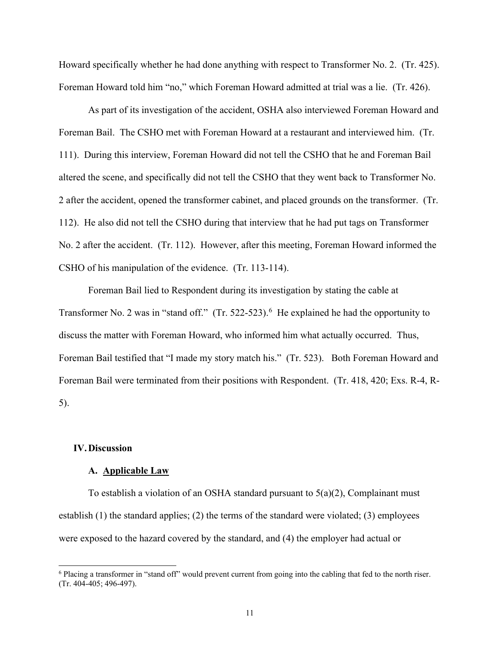Howard specifically whether he had done anything with respect to Transformer No. 2. (Tr. 425). Foreman Howard told him "no," which Foreman Howard admitted at trial was a lie. (Tr. 426).

 As part of its investigation of the accident, OSHA also interviewed Foreman Howard and Foreman Bail. The CSHO met with Foreman Howard at a restaurant and interviewed him. (Tr. 111). During this interview, Foreman Howard did not tell the CSHO that he and Foreman Bail altered the scene, and specifically did not tell the CSHO that they went back to Transformer No. 2 after the accident, opened the transformer cabinet, and placed grounds on the transformer. (Tr. 112). He also did not tell the CSHO during that interview that he had put tags on Transformer No. 2 after the accident. (Tr. 112). However, after this meeting, Foreman Howard informed the CSHO of his manipulation of the evidence. (Tr. 113-114).

Foreman Bail lied to Respondent during its investigation by stating the cable at Transformer No. 2 was in "stand off."  $(Tr. 522-523)$ . He explained he had the opportunity to discuss the matter with Foreman Howard, who informed him what actually occurred. Thus, Foreman Bail testified that "I made my story match his." (Tr. 523). Both Foreman Howard and Foreman Bail were terminated from their positions with Respondent. (Tr. 418, 420; Exs. R-4, R-5).

## **IV.Discussion**

#### **A. Applicable Law**

To establish a violation of an OSHA standard pursuant to  $5(a)(2)$ , Complainant must establish (1) the standard applies; (2) the terms of the standard were violated; (3) employees were exposed to the hazard covered by the standard, and (4) the employer had actual or

<span id="page-10-0"></span><sup>&</sup>lt;sup>6</sup> Placing a transformer in "stand off" would prevent current from going into the cabling that fed to the north riser. (Tr. 404-405; 496-497).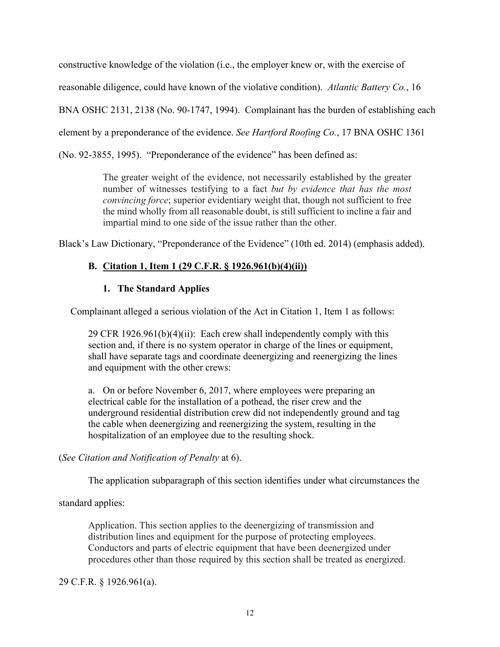constructive knowledge of the violation (i.e., the employer knew or, with the exercise of

reasonable diligence, could have known of the violative condition). *Atlantic Battery Co.*, 16

BNA OSHC 2131, 2138 (No. 90-1747, 1994). Complainant has the burden of establishing each

element by a preponderance of the evidence. *See Hartford Roofing Co.*, 17 BNA OSHC 1361

(No. 92-3855, 1995). "Preponderance of the evidence" has been defined as:

The greater weight of the evidence, not necessarily established by the greater number of witnesses testifying to a fact *but by evidence that has the most convincing force*; superior evidentiary weight that, though not sufficient to free the mind wholly from all reasonable doubt, is still sufficient to incline a fair and impartial mind to one side of the issue rather than the other.

Black's Law Dictionary, "Preponderance of the Evidence" (10th ed. 2014) (emphasis added).

# **B. Citation 1, Item 1 (29 C.F.R. § 1926.961(b)(4)(ii))**

# **1. The Standard Applies**

Complainant alleged a serious violation of the Act in Citation 1, Item 1 as follows:

29 CFR 1926.961(b)(4)(ii): Each crew shall independently comply with this section and, if there is no system operator in charge of the lines or equipment, shall have separate tags and coordinate deenergizing and reenergizing the lines and equipment with the other crews:

a. On or before November 6, 2017, where employees were preparing an electrical cable for the installation of a pothead, the riser crew and the underground residential distribution crew did not independently ground and tag the cable when deenergizing and reenergizing the system, resulting in the hospitalization of an employee due to the resulting shock.

# (*See Citation and Notification of Penalty* at 6).

The application subparagraph of this section identifies under what circumstances the

# standard applies:

Application. This section applies to the deenergizing of transmission and distribution lines and equipment for the purpose of protecting employees. Conductors and parts of electric equipment that have been deenergized under procedures other than those required by this section shall be treated as energized.

## 29 C.F.R. § 1926.961(a).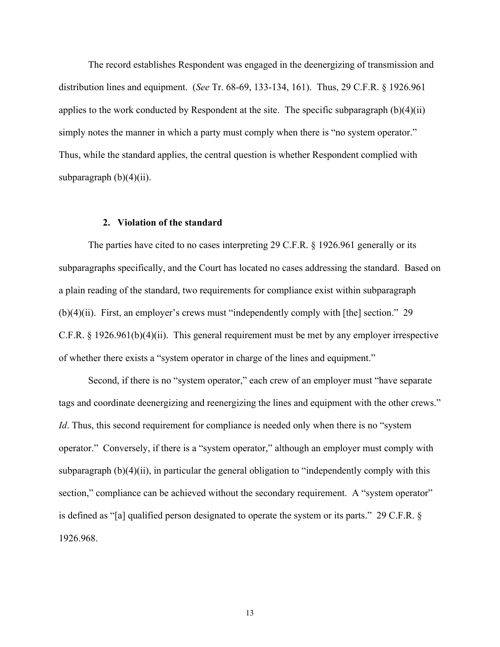The record establishes Respondent was engaged in the deenergizing of transmission and distribution lines and equipment. (*See* Tr. 68-69, 133-134, 161). Thus, 29 C.F.R. § 1926.961 applies to the work conducted by Respondent at the site. The specific subparagraph  $(b)(4)(ii)$ simply notes the manner in which a party must comply when there is "no system operator." Thus, while the standard applies, the central question is whether Respondent complied with subparagraph  $(b)(4)(ii)$ .

### **2. Violation of the standard**

The parties have cited to no cases interpreting 29 C.F.R. § 1926.961 generally or its subparagraphs specifically, and the Court has located no cases addressing the standard. Based on a plain reading of the standard, two requirements for compliance exist within subparagraph (b)(4)(ii). First, an employer's crews must "independently comply with [the] section." 29 C.F.R. § 1926.961(b)(4)(ii). This general requirement must be met by any employer irrespective of whether there exists a "system operator in charge of the lines and equipment."

Second, if there is no "system operator," each crew of an employer must "have separate tags and coordinate deenergizing and reenergizing the lines and equipment with the other crews." *Id*. Thus, this second requirement for compliance is needed only when there is no "system" operator." Conversely, if there is a "system operator," although an employer must comply with subparagraph  $(b)(4)(ii)$ , in particular the general obligation to "independently comply with this section," compliance can be achieved without the secondary requirement. A "system operator" is defined as "[a] qualified person designated to operate the system or its parts." 29 C.F.R. § 1926.968.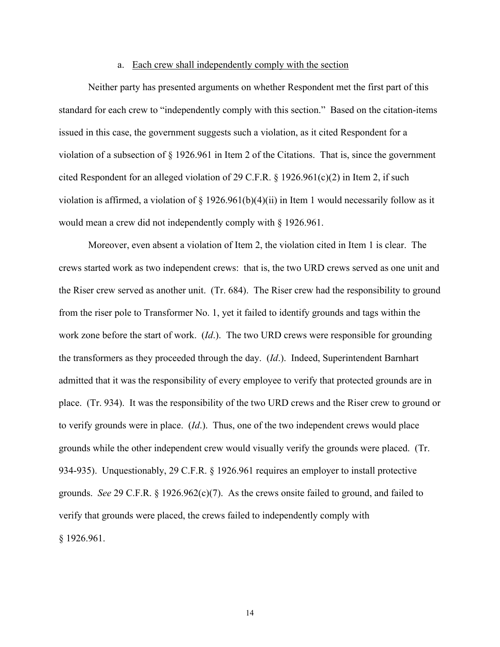#### a. Each crew shall independently comply with the section

Neither party has presented arguments on whether Respondent met the first part of this standard for each crew to "independently comply with this section." Based on the citation-items issued in this case, the government suggests such a violation, as it cited Respondent for a violation of a subsection of § 1926.961 in Item 2 of the Citations. That is, since the government cited Respondent for an alleged violation of 29 C.F.R. § 1926.961(c)(2) in Item 2, if such violation is affirmed, a violation of  $\S 1926.961(b)(4)(ii)$  in Item 1 would necessarily follow as it would mean a crew did not independently comply with § 1926.961.

 Moreover, even absent a violation of Item 2, the violation cited in Item 1 is clear. The crews started work as two independent crews: that is, the two URD crews served as one unit and the Riser crew served as another unit. (Tr. 684). The Riser crew had the responsibility to ground from the riser pole to Transformer No. 1, yet it failed to identify grounds and tags within the work zone before the start of work. (*Id*.). The two URD crews were responsible for grounding the transformers as they proceeded through the day. (*Id*.). Indeed, Superintendent Barnhart admitted that it was the responsibility of every employee to verify that protected grounds are in place. (Tr. 934). It was the responsibility of the two URD crews and the Riser crew to ground or to verify grounds were in place. (*Id*.). Thus, one of the two independent crews would place grounds while the other independent crew would visually verify the grounds were placed. (Tr. 934-935). Unquestionably, 29 C.F.R. § 1926.961 requires an employer to install protective grounds. *See* 29 C.F.R. § 1926.962(c)(7). As the crews onsite failed to ground, and failed to verify that grounds were placed, the crews failed to independently comply with § 1926.961.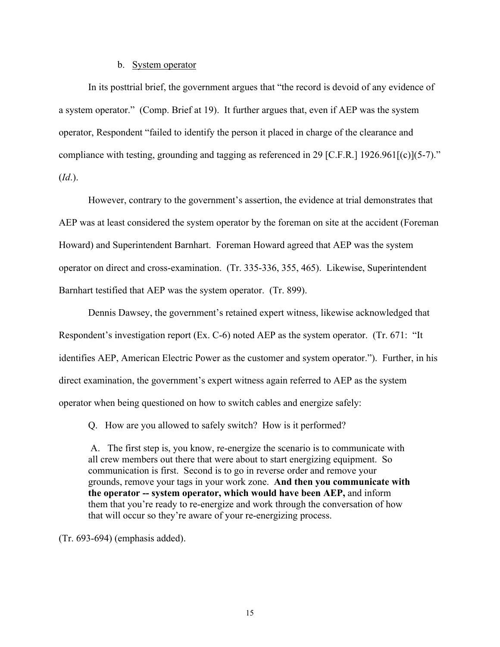#### b. System operator

In its posttrial brief, the government argues that "the record is devoid of any evidence of a system operator." (Comp. Brief at 19). It further argues that, even if AEP was the system operator, Respondent "failed to identify the person it placed in charge of the clearance and compliance with testing, grounding and tagging as referenced in 29 [C.F.R.] 1926.961[(c)](5-7)." (*Id*.).

However, contrary to the government's assertion, the evidence at trial demonstrates that AEP was at least considered the system operator by the foreman on site at the accident (Foreman Howard) and Superintendent Barnhart. Foreman Howard agreed that AEP was the system operator on direct and cross-examination. (Tr. 335-336, 355, 465). Likewise, Superintendent Barnhart testified that AEP was the system operator. (Tr. 899).

Dennis Dawsey, the government's retained expert witness, likewise acknowledged that Respondent's investigation report (Ex. C-6) noted AEP as the system operator. (Tr. 671: "It identifies AEP, American Electric Power as the customer and system operator."). Further, in his direct examination, the government's expert witness again referred to AEP as the system operator when being questioned on how to switch cables and energize safely:

Q. How are you allowed to safely switch? How is it performed?

A. The first step is, you know, re-energize the scenario is to communicate with all crew members out there that were about to start energizing equipment. So communication is first. Second is to go in reverse order and remove your grounds, remove your tags in your work zone. **And then you communicate with the operator -- system operator, which would have been AEP,** and inform them that you're ready to re-energize and work through the conversation of how that will occur so they're aware of your re-energizing process.

(Tr. 693-694) (emphasis added).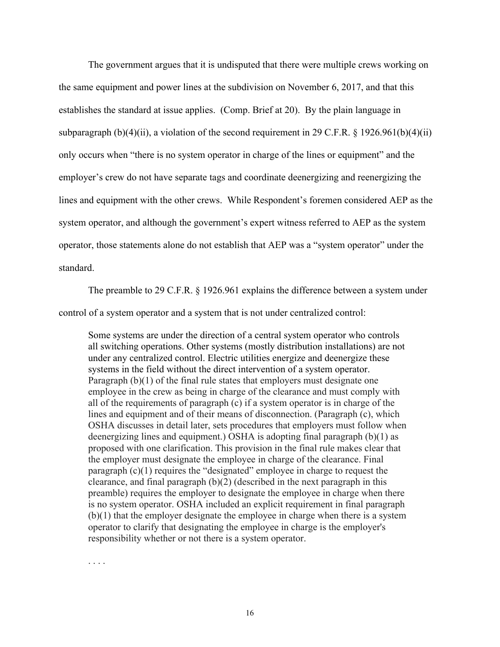The government argues that it is undisputed that there were multiple crews working on the same equipment and power lines at the subdivision on November 6, 2017, and that this establishes the standard at issue applies. (Comp. Brief at 20). By the plain language in subparagraph (b)(4)(ii), a violation of the second requirement in 29 C.F.R. § 1926.961(b)(4)(ii) only occurs when "there is no system operator in charge of the lines or equipment" and the employer's crew do not have separate tags and coordinate deenergizing and reenergizing the lines and equipment with the other crews. While Respondent's foremen considered AEP as the system operator, and although the government's expert witness referred to AEP as the system operator, those statements alone do not establish that AEP was a "system operator" under the standard.

 The preamble to 29 C.F.R. § 1926.961 explains the difference between a system under control of a system operator and a system that is not under centralized control:

Some systems are under the direction of a central system operator who controls all switching operations. Other systems (mostly distribution installations) are not under any centralized control. Electric utilities energize and deenergize these systems in the field without the direct intervention of a system operator. Paragraph (b)(1) of the final rule states that employers must designate one employee in the crew as being in charge of the clearance and must comply with all of the requirements of paragraph (c) if a system operator is in charge of the lines and equipment and of their means of disconnection. (Paragraph (c), which OSHA discusses in detail later, sets procedures that employers must follow when deenergizing lines and equipment.) OSHA is adopting final paragraph (b)(1) as proposed with one clarification. This provision in the final rule makes clear that the employer must designate the employee in charge of the clearance. Final paragraph (c)(1) requires the "designated" employee in charge to request the clearance, and final paragraph (b)(2) (described in the next paragraph in this preamble) requires the employer to designate the employee in charge when there is no system operator. OSHA included an explicit requirement in final paragraph (b)(1) that the employer designate the employee in charge when there is a system operator to clarify that designating the employee in charge is the employer's responsibility whether or not there is a system operator.

. . . .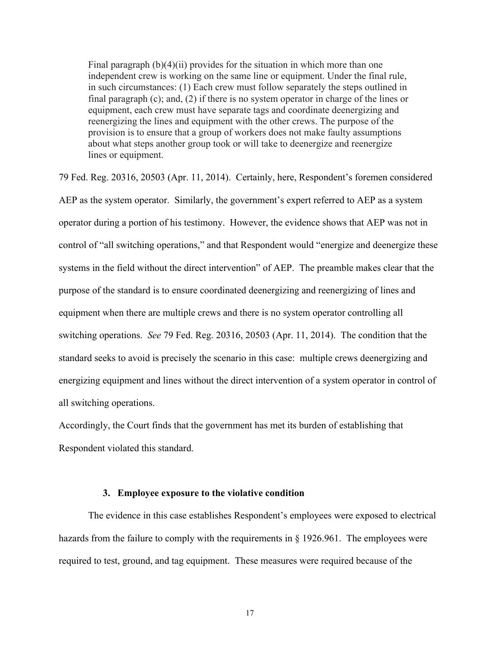Final paragraph (b)(4)(ii) provides for the situation in which more than one independent crew is working on the same line or equipment. Under the final rule, in such circumstances: (1) Each crew must follow separately the steps outlined in final paragraph (c); and, (2) if there is no system operator in charge of the lines or equipment, each crew must have separate tags and coordinate deenergizing and reenergizing the lines and equipment with the other crews. The purpose of the provision is to ensure that a group of workers does not make faulty assumptions about what steps another group took or will take to deenergize and reenergize lines or equipment.

79 Fed. Reg. 20316, 20503 (Apr. 11, 2014). Certainly, here, Respondent's foremen considered AEP as the system operator. Similarly, the government's expert referred to AEP as a system operator during a portion of his testimony. However, the evidence shows that AEP was not in control of "all switching operations," and that Respondent would "energize and deenergize these systems in the field without the direct intervention" of AEP. The preamble makes clear that the purpose of the standard is to ensure coordinated deenergizing and reenergizing of lines and equipment when there are multiple crews and there is no system operator controlling all switching operations. *See* 79 Fed. Reg. 20316, 20503 (Apr. 11, 2014). The condition that the standard seeks to avoid is precisely the scenario in this case: multiple crews deenergizing and energizing equipment and lines without the direct intervention of a system operator in control of all switching operations.

Accordingly, the Court finds that the government has met its burden of establishing that Respondent violated this standard.

#### **3. Employee exposure to the violative condition**

The evidence in this case establishes Respondent's employees were exposed to electrical hazards from the failure to comply with the requirements in § 1926.961. The employees were required to test, ground, and tag equipment. These measures were required because of the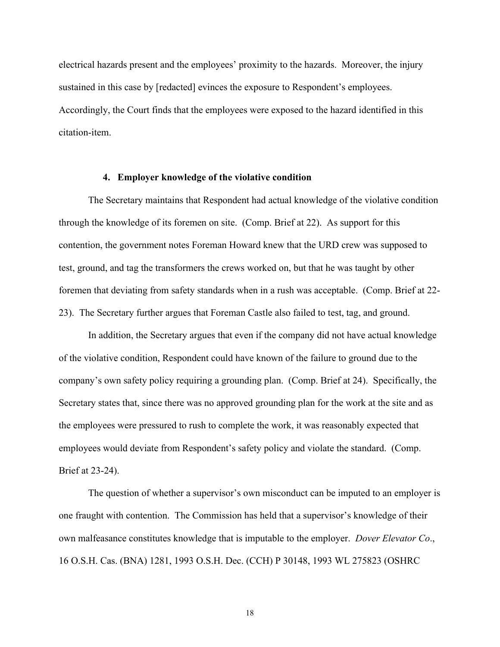electrical hazards present and the employees' proximity to the hazards. Moreover, the injury sustained in this case by [redacted] evinces the exposure to Respondent's employees. Accordingly, the Court finds that the employees were exposed to the hazard identified in this citation-item.

## **4. Employer knowledge of the violative condition**

The Secretary maintains that Respondent had actual knowledge of the violative condition through the knowledge of its foremen on site. (Comp. Brief at 22). As support for this contention, the government notes Foreman Howard knew that the URD crew was supposed to test, ground, and tag the transformers the crews worked on, but that he was taught by other foremen that deviating from safety standards when in a rush was acceptable. (Comp. Brief at 22- 23). The Secretary further argues that Foreman Castle also failed to test, tag, and ground.

In addition, the Secretary argues that even if the company did not have actual knowledge of the violative condition, Respondent could have known of the failure to ground due to the company's own safety policy requiring a grounding plan. (Comp. Brief at 24). Specifically, the Secretary states that, since there was no approved grounding plan for the work at the site and as the employees were pressured to rush to complete the work, it was reasonably expected that employees would deviate from Respondent's safety policy and violate the standard. (Comp. Brief at 23-24).

The question of whether a supervisor's own misconduct can be imputed to an employer is one fraught with contention. The Commission has held that a supervisor's knowledge of their own malfeasance constitutes knowledge that is imputable to the employer. *Dover Elevator Co*., 16 O.S.H. Cas. (BNA) 1281, 1993 O.S.H. Dec. (CCH) P 30148, 1993 WL 275823 (OSHRC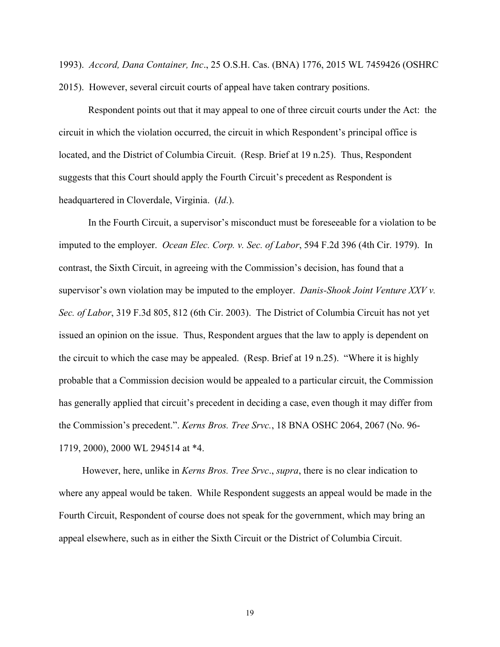1993). *Accord, Dana Container, Inc*., 25 O.S.H. Cas. (BNA) 1776, 2015 WL 7459426 (OSHRC 2015). However, several circuit courts of appeal have taken contrary positions.

Respondent points out that it may appeal to one of three circuit courts under the Act: the circuit in which the violation occurred, the circuit in which Respondent's principal office is located, and the District of Columbia Circuit. (Resp. Brief at 19 n.25). Thus, Respondent suggests that this Court should apply the Fourth Circuit's precedent as Respondent is headquartered in Cloverdale, Virginia. (*Id*.).

 In the Fourth Circuit, a supervisor's misconduct must be foreseeable for a violation to be imputed to the employer. *Ocean Elec. Corp. v. Sec. of Labor*, 594 F.2d 396 (4th Cir. 1979). In contrast, the Sixth Circuit, in agreeing with the Commission's decision, has found that a supervisor's own violation may be imputed to the employer. *Danis-Shook Joint Venture XXV v. Sec. of Labor*, 319 F.3d 805, 812 (6th Cir. 2003). The District of Columbia Circuit has not yet issued an opinion on the issue. Thus, Respondent argues that the law to apply is dependent on the circuit to which the case may be appealed. (Resp. Brief at 19 n.25). "Where it is highly probable that a Commission decision would be appealed to a particular circuit, the Commission has generally applied that circuit's precedent in deciding a case, even though it may differ from the Commission's precedent.". *Kerns Bros. Tree Srvc.*, 18 BNA OSHC 2064, 2067 (No. 96- 1719, 2000), 2000 WL 294514 at \*4.

 However, here, unlike in *Kerns Bros. Tree Srvc*., *supra*, there is no clear indication to where any appeal would be taken. While Respondent suggests an appeal would be made in the Fourth Circuit, Respondent of course does not speak for the government, which may bring an appeal elsewhere, such as in either the Sixth Circuit or the District of Columbia Circuit.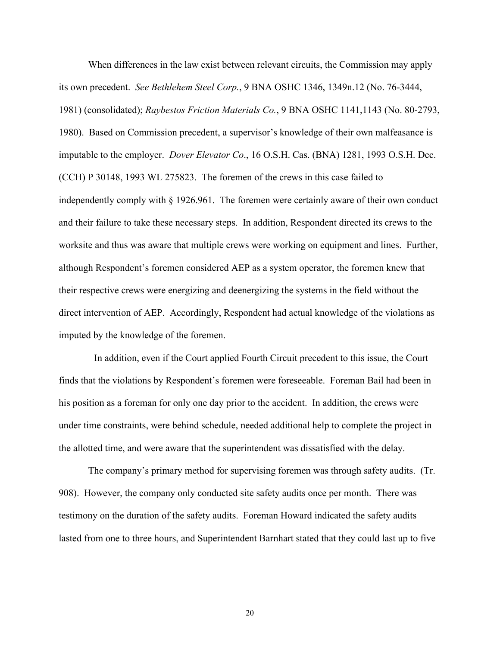When differences in the law exist between relevant circuits, the Commission may apply its own precedent. *See [Bethlehem Steel Corp.](https://1.next.westlaw.com/Link/Document/FullText?findType=Y&serNum=1981247035&pubNum=0003227&originatingDoc=Ia1b3e00d935911e5a795ac035416da91&refType=CA&originationContext=document&transitionType=DocumentItem&contextData=(sc.Search))*, 9 BNA OSHC 1346, 1349n.12 (No. 76-3444, 1981) (consolidated); *Raybestos Friction Materials Co.*[, 9 BNA OSHC 1141,1143 \(No. 80-2793,](https://1.next.westlaw.com/Link/Document/FullText?findType=Y&serNum=1980186164&pubNum=0003227&originatingDoc=Ia1b3e00d935911e5a795ac035416da91&refType=CA&fi=co_pp_sp_3227_1143&originationContext=document&transitionType=DocumentItem&contextData=(sc.Search)#co_pp_sp_3227_1143) 1980). Based on Commission precedent, a supervisor's knowledge of their own malfeasance is imputable to the employer. *Dover Elevator Co*., 16 O.S.H. Cas. (BNA) 1281, 1993 O.S.H. Dec. (CCH) P 30148, 1993 WL 275823. The foremen of the crews in this case failed to independently comply with  $\S$  1926.961. The foremen were certainly aware of their own conduct and their failure to take these necessary steps. In addition, Respondent directed its crews to the worksite and thus was aware that multiple crews were working on equipment and lines. Further, although Respondent's foremen considered AEP as a system operator, the foremen knew that their respective crews were energizing and deenergizing the systems in the field without the direct intervention of AEP. Accordingly, Respondent had actual knowledge of the violations as imputed by the knowledge of the foremen.

 In addition, even if the Court applied Fourth Circuit precedent to this issue, the Court finds that the violations by Respondent's foremen were foreseeable. Foreman Bail had been in his position as a foreman for only one day prior to the accident. In addition, the crews were under time constraints, were behind schedule, needed additional help to complete the project in the allotted time, and were aware that the superintendent was dissatisfied with the delay.

 The company's primary method for supervising foremen was through safety audits. (Tr. 908). However, the company only conducted site safety audits once per month. There was testimony on the duration of the safety audits. Foreman Howard indicated the safety audits lasted from one to three hours, and Superintendent Barnhart stated that they could last up to five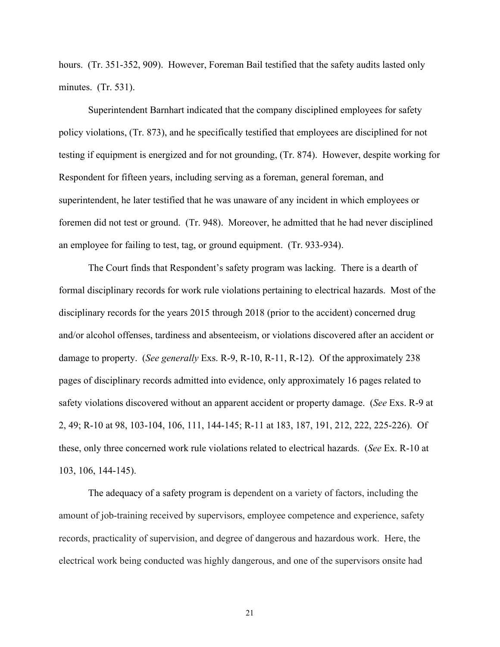hours. (Tr. 351-352, 909). However, Foreman Bail testified that the safety audits lasted only minutes. (Tr. 531).

Superintendent Barnhart indicated that the company disciplined employees for safety policy violations, (Tr. 873), and he specifically testified that employees are disciplined for not testing if equipment is energized and for not grounding, (Tr. 874). However, despite working for Respondent for fifteen years, including serving as a foreman, general foreman, and superintendent, he later testified that he was unaware of any incident in which employees or foremen did not test or ground. (Tr. 948). Moreover, he admitted that he had never disciplined an employee for failing to test, tag, or ground equipment. (Tr. 933-934).

The Court finds that Respondent's safety program was lacking. There is a dearth of formal disciplinary records for work rule violations pertaining to electrical hazards. Most of the disciplinary records for the years 2015 through 2018 (prior to the accident) concerned drug and/or alcohol offenses, tardiness and absenteeism, or violations discovered after an accident or damage to property. (*See generally* Exs. R-9, R-10, R-11, R-12). Of the approximately 238 pages of disciplinary records admitted into evidence, only approximately 16 pages related to safety violations discovered without an apparent accident or property damage. (*See* Exs. R-9 at 2, 49; R-10 at 98, 103-104, 106, 111, 144-145; R-11 at 183, 187, 191, 212, 222, 225-226). Of these, only three concerned work rule violations related to electrical hazards. (*See* Ex. R-10 at 103, 106, 144-145).

The adequacy of a safety program is dependent on a variety of factors, including the amount of job-training received by supervisors, employee competence and experience, safety records, practicality of supervision, and degree of dangerous and hazardous work. Here, the electrical work being conducted was highly dangerous, and one of the supervisors onsite had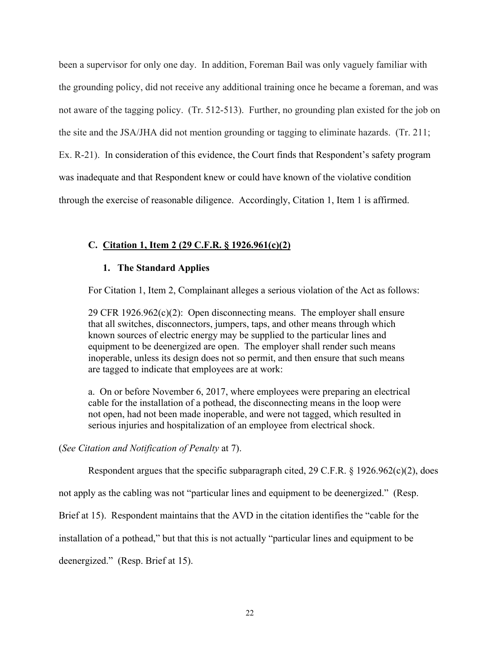been a supervisor for only one day. In addition, Foreman Bail was only vaguely familiar with the grounding policy, did not receive any additional training once he became a foreman, and was not aware of the tagging policy. (Tr. 512-513). Further, no grounding plan existed for the job on the site and the JSA/JHA did not mention grounding or tagging to eliminate hazards. (Tr. 211; Ex. R-21). In consideration of this evidence, the Court finds that Respondent's safety program was inadequate and that Respondent knew or could have known of the violative condition through the exercise of reasonable diligence. Accordingly, Citation 1, Item 1 is affirmed.

## **C. Citation 1, Item 2 (29 C.F.R. § 1926.961(c)(2)**

## **1. The Standard Applies**

For Citation 1, Item 2, Complainant alleges a serious violation of the Act as follows:

29 CFR 1926.962(c)(2): Open disconnecting means. The employer shall ensure that all switches, disconnectors, jumpers, taps, and other means through which known sources of electric energy may be supplied to the particular lines and equipment to be deenergized are open. The employer shall render such means inoperable, unless its design does not so permit, and then ensure that such means are tagged to indicate that employees are at work:

a. On or before November 6, 2017, where employees were preparing an electrical cable for the installation of a pothead, the disconnecting means in the loop were not open, had not been made inoperable, and were not tagged, which resulted in serious injuries and hospitalization of an employee from electrical shock.

## (*See Citation and Notification of Penalty* at 7).

Respondent argues that the specific subparagraph cited, 29 C.F.R. § 1926.962(c)(2), does

not apply as the cabling was not "particular lines and equipment to be deenergized." (Resp.

Brief at 15). Respondent maintains that the AVD in the citation identifies the "cable for the

installation of a pothead," but that this is not actually "particular lines and equipment to be

deenergized." (Resp. Brief at 15).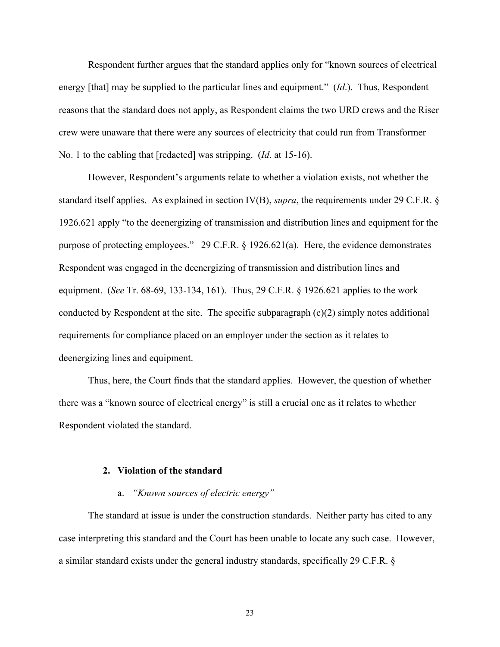Respondent further argues that the standard applies only for "known sources of electrical energy [that] may be supplied to the particular lines and equipment." (*Id*.). Thus, Respondent reasons that the standard does not apply, as Respondent claims the two URD crews and the Riser crew were unaware that there were any sources of electricity that could run from Transformer No. 1 to the cabling that [redacted] was stripping. (*Id*. at 15-16).

However, Respondent's arguments relate to whether a violation exists, not whether the standard itself applies. As explained in section IV(B), *supra*, the requirements under 29 C.F.R. § 1926.621 apply "to the deenergizing of transmission and distribution lines and equipment for the purpose of protecting employees." 29 C.F.R. § 1926.621(a). Here, the evidence demonstrates Respondent was engaged in the deenergizing of transmission and distribution lines and equipment. (*See* Tr. 68-69, 133-134, 161). Thus, 29 C.F.R. § 1926.621 applies to the work conducted by Respondent at the site. The specific subparagraph (c)(2) simply notes additional requirements for compliance placed on an employer under the section as it relates to deenergizing lines and equipment.

 Thus, here, the Court finds that the standard applies. However, the question of whether there was a "known source of electrical energy" is still a crucial one as it relates to whether Respondent violated the standard.

## **2. Violation of the standard**

## a. *"Known sources of electric energy"*

 The standard at issue is under the construction standards. Neither party has cited to any case interpreting this standard and the Court has been unable to locate any such case. However, a similar standard exists under the general industry standards, specifically 29 C.F.R. §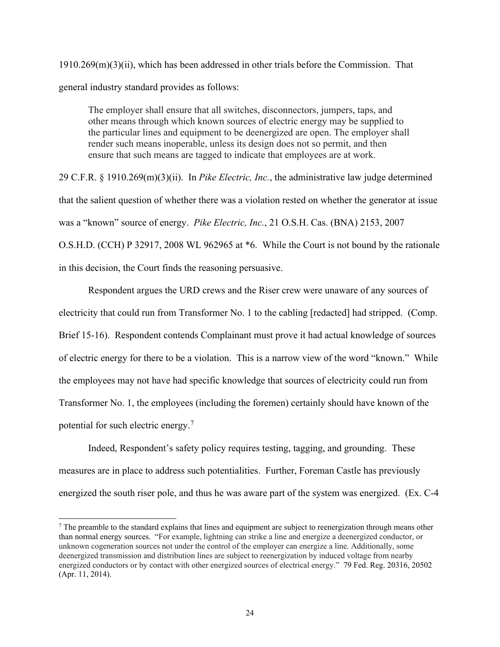$1910.269(m)(3)(ii)$ , which has been addressed in other trials before the Commission. That general industry standard provides as follows:

The employer shall ensure that all switches, disconnectors, jumpers, taps, and other means through which known sources of electric energy may be supplied to the particular lines and equipment to be deenergized are open. The employer shall render such means inoperable, unless its design does not so permit, and then ensure that such means are tagged to indicate that employees are at work.

29 C.F.R. § 1910.269(m)(3)(ii). In *Pike Electric, Inc.*, the administrative law judge determined that the salient question of whether there was a violation rested on whether the generator at issue was a "known" source of energy. *Pike Electric, Inc.*, 21 O.S.H. Cas. (BNA) 2153, 2007 O.S.H.D. (CCH) P 32917, 2008 WL 962965 at \*6. While the Court is not bound by the rationale in this decision, the Court finds the reasoning persuasive.

Respondent argues the URD crews and the Riser crew were unaware of any sources of electricity that could run from Transformer No. 1 to the cabling [redacted] had stripped. (Comp. Brief 15-16). Respondent contends Complainant must prove it had actual knowledge of sources of electric energy for there to be a violation. This is a narrow view of the word "known." While the employees may not have had specific knowledge that sources of electricity could run from Transformer No. 1, the employees (including the foremen) certainly should have known of the potential for such electric energy. $7$ 

 Indeed, Respondent's safety policy requires testing, tagging, and grounding. These measures are in place to address such potentialities. Further, Foreman Castle has previously energized the south riser pole, and thus he was aware part of the system was energized. (Ex. C-4

<span id="page-23-0"></span> $<sup>7</sup>$  The preamble to the standard explains that lines and equipment are subject to reenergization through means other</sup> than normal energy sources. "For example, lightning can strike a line and energize a deenergized conductor, or unknown cogeneration sources not under the control of the employer can energize a line. Additionally, some deenergized transmission and distribution lines are subject to reenergization by induced voltage from nearby energized conductors or by contact with other energized sources of electrical energy." 79 Fed. Reg. 20316, 20502 (Apr. 11, 2014).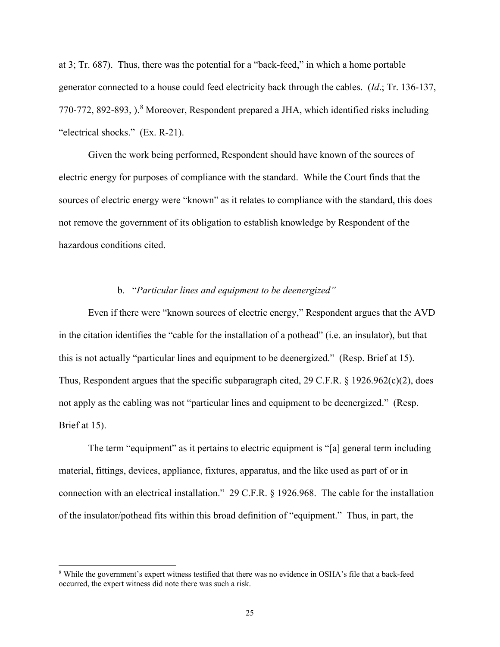at 3; Tr. 687). Thus, there was the potential for a "back-feed," in which a home portable generator connected to a house could feed electricity back through the cables. (*Id*.; Tr. 136-137, 770-772, [8](#page-24-0)92-893, ).<sup>8</sup> Moreover, Respondent prepared a JHA, which identified risks including "electrical shocks." (Ex. R-21).

 Given the work being performed, Respondent should have known of the sources of electric energy for purposes of compliance with the standard. While the Court finds that the sources of electric energy were "known" as it relates to compliance with the standard, this does not remove the government of its obligation to establish knowledge by Respondent of the hazardous conditions cited.

## b. "*Particular lines and equipment to be deenergized"*

Even if there were "known sources of electric energy," Respondent argues that the AVD in the citation identifies the "cable for the installation of a pothead" (i.e. an insulator), but that this is not actually "particular lines and equipment to be deenergized." (Resp. Brief at 15). Thus, Respondent argues that the specific subparagraph cited, 29 C.F.R. § 1926.962(c)(2), does not apply as the cabling was not "particular lines and equipment to be deenergized." (Resp. Brief at 15).

The term "equipment" as it pertains to electric equipment is "[a] general term including material, fittings, devices, appliance, fixtures, apparatus, and the like used as part of or in connection with an electrical installation." 29 C.F.R. § 1926.968. The cable for the installation of the insulator/pothead fits within this broad definition of "equipment." Thus, in part, the

<span id="page-24-0"></span><sup>8</sup> While the government's expert witness testified that there was no evidence in OSHA's file that a back-feed occurred, the expert witness did note there was such a risk.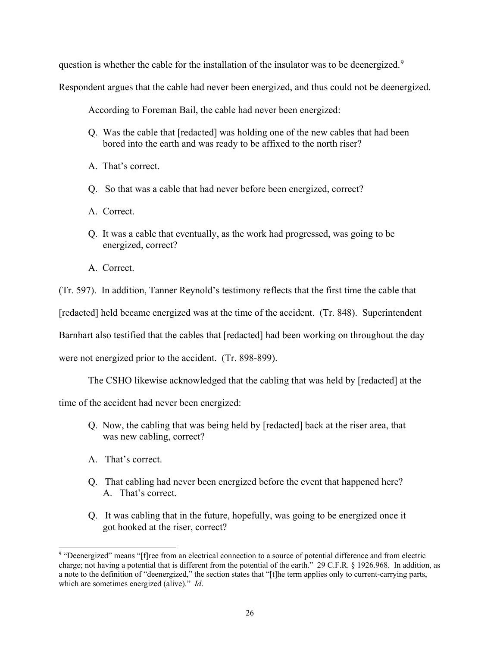question is whether the cable for the installation of the insulator was to be deenergized.<sup>[9](#page-25-0)</sup>

Respondent argues that the cable had never been energized, and thus could not be deenergized.

According to Foreman Bail, the cable had never been energized:

- Q. Was the cable that [redacted] was holding one of the new cables that had been bored into the earth and was ready to be affixed to the north riser?
- A. That's correct.
- Q. So that was a cable that had never before been energized, correct?
- A. Correct.
- Q. It was a cable that eventually, as the work had progressed, was going to be energized, correct?
- A. Correct.

(Tr. 597). In addition, Tanner Reynold's testimony reflects that the first time the cable that

[redacted] held became energized was at the time of the accident. (Tr. 848). Superintendent

Barnhart also testified that the cables that [redacted] had been working on throughout the day

were not energized prior to the accident. (Tr. 898-899).

The CSHO likewise acknowledged that the cabling that was held by [redacted] at the

time of the accident had never been energized:

- Q. Now, the cabling that was being held by [redacted] back at the riser area, that was new cabling, correct?
- A. That's correct.
- Q. That cabling had never been energized before the event that happened here? A. That's correct.
- Q. It was cabling that in the future, hopefully, was going to be energized once it got hooked at the riser, correct?

<span id="page-25-0"></span><sup>9</sup> "Deenergized" means "[f]ree from an electrical connection to a source of potential difference and from electric charge; not having a potential that is different from the potential of the earth." 29 C.F.R. § 1926.968. In addition, as a note to the definition of "deenergized," the section states that "[t]he term applies only to current-carrying parts, which are sometimes energized (alive)." *Id*.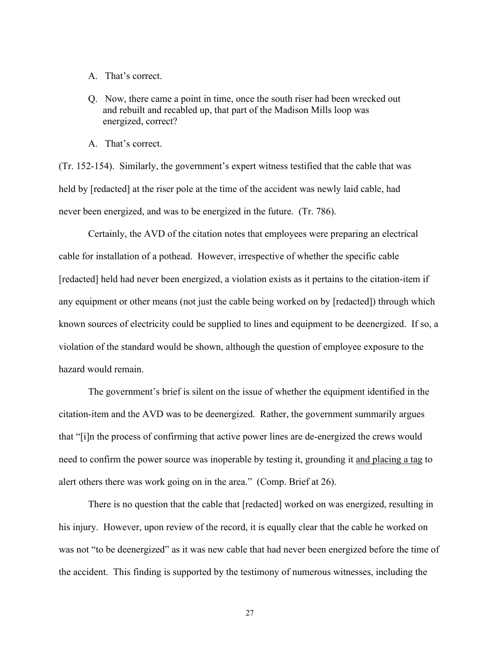- A. That's correct.
- Q. Now, there came a point in time, once the south riser had been wrecked out and rebuilt and recabled up, that part of the Madison Mills loop was energized, correct?
- A. That's correct.

(Tr. 152-154). Similarly, the government's expert witness testified that the cable that was held by [redacted] at the riser pole at the time of the accident was newly laid cable, had never been energized, and was to be energized in the future. (Tr. 786).

Certainly, the AVD of the citation notes that employees were preparing an electrical cable for installation of a pothead. However, irrespective of whether the specific cable [redacted] held had never been energized, a violation exists as it pertains to the citation-item if any equipment or other means (not just the cable being worked on by [redacted]) through which known sources of electricity could be supplied to lines and equipment to be deenergized. If so, a violation of the standard would be shown, although the question of employee exposure to the hazard would remain.

 The government's brief is silent on the issue of whether the equipment identified in the citation-item and the AVD was to be deenergized. Rather, the government summarily argues that "[i]n the process of confirming that active power lines are de-energized the crews would need to confirm the power source was inoperable by testing it, grounding it and placing a tag to alert others there was work going on in the area." (Comp. Brief at 26).

 There is no question that the cable that [redacted] worked on was energized, resulting in his injury. However, upon review of the record, it is equally clear that the cable he worked on was not "to be deenergized" as it was new cable that had never been energized before the time of the accident. This finding is supported by the testimony of numerous witnesses, including the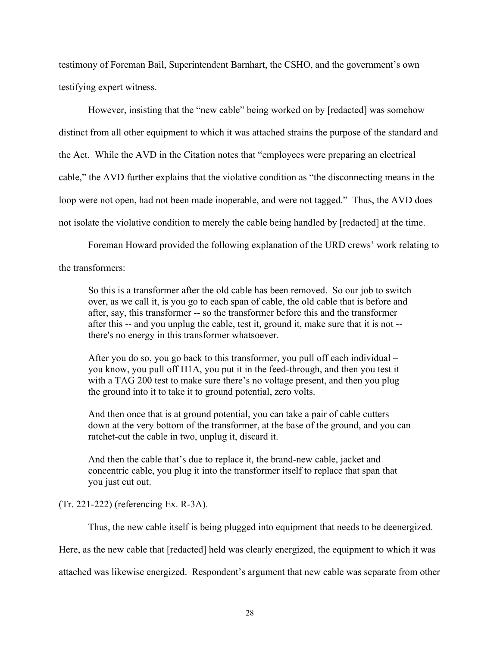testimony of Foreman Bail, Superintendent Barnhart, the CSHO, and the government's own testifying expert witness.

 However, insisting that the "new cable" being worked on by [redacted] was somehow distinct from all other equipment to which it was attached strains the purpose of the standard and the Act. While the AVD in the Citation notes that "employees were preparing an electrical cable," the AVD further explains that the violative condition as "the disconnecting means in the loop were not open, had not been made inoperable, and were not tagged." Thus, the AVD does not isolate the violative condition to merely the cable being handled by [redacted] at the time.

Foreman Howard provided the following explanation of the URD crews' work relating to

## the transformers:

So this is a transformer after the old cable has been removed. So our job to switch over, as we call it, is you go to each span of cable, the old cable that is before and after, say, this transformer -- so the transformer before this and the transformer after this -- and you unplug the cable, test it, ground it, make sure that it is not - there's no energy in this transformer whatsoever.

After you do so, you go back to this transformer, you pull off each individual – you know, you pull off H1A, you put it in the feed-through, and then you test it with a TAG 200 test to make sure there's no voltage present, and then you plug the ground into it to take it to ground potential, zero volts.

And then once that is at ground potential, you can take a pair of cable cutters down at the very bottom of the transformer, at the base of the ground, and you can ratchet-cut the cable in two, unplug it, discard it.

And then the cable that's due to replace it, the brand-new cable, jacket and concentric cable, you plug it into the transformer itself to replace that span that you just cut out.

## (Tr. 221-222) (referencing Ex. R-3A).

Thus, the new cable itself is being plugged into equipment that needs to be deenergized.

Here, as the new cable that [redacted] held was clearly energized, the equipment to which it was

attached was likewise energized. Respondent's argument that new cable was separate from other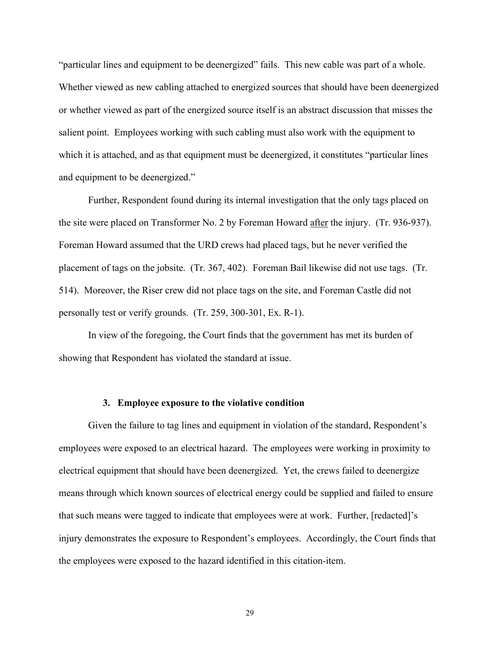"particular lines and equipment to be deenergized" fails. This new cable was part of a whole. Whether viewed as new cabling attached to energized sources that should have been deenergized or whether viewed as part of the energized source itself is an abstract discussion that misses the salient point. Employees working with such cabling must also work with the equipment to which it is attached, and as that equipment must be deenergized, it constitutes "particular lines" and equipment to be deenergized."

 Further, Respondent found during its internal investigation that the only tags placed on the site were placed on Transformer No. 2 by Foreman Howard after the injury. (Tr. 936-937). Foreman Howard assumed that the URD crews had placed tags, but he never verified the placement of tags on the jobsite. (Tr. 367, 402). Foreman Bail likewise did not use tags. (Tr. 514). Moreover, the Riser crew did not place tags on the site, and Foreman Castle did not personally test or verify grounds. (Tr. 259, 300-301, Ex. R-1).

 In view of the foregoing, the Court finds that the government has met its burden of showing that Respondent has violated the standard at issue.

#### **3. Employee exposure to the violative condition**

 Given the failure to tag lines and equipment in violation of the standard, Respondent's employees were exposed to an electrical hazard. The employees were working in proximity to electrical equipment that should have been deenergized. Yet, the crews failed to deenergize means through which known sources of electrical energy could be supplied and failed to ensure that such means were tagged to indicate that employees were at work. Further, [redacted]'s injury demonstrates the exposure to Respondent's employees. Accordingly, the Court finds that the employees were exposed to the hazard identified in this citation-item.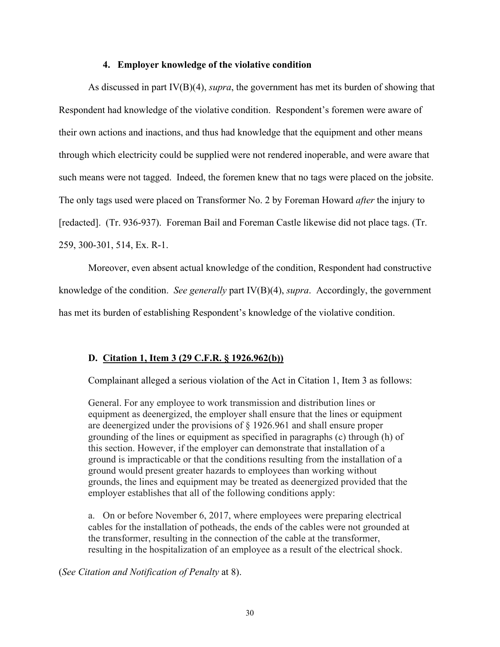## **4. Employer knowledge of the violative condition**

 As discussed in part IV(B)(4), *supra*, the government has met its burden of showing that Respondent had knowledge of the violative condition. Respondent's foremen were aware of their own actions and inactions, and thus had knowledge that the equipment and other means through which electricity could be supplied were not rendered inoperable, and were aware that such means were not tagged. Indeed, the foremen knew that no tags were placed on the jobsite. The only tags used were placed on Transformer No. 2 by Foreman Howard *after* the injury to [redacted]. (Tr. 936-937). Foreman Bail and Foreman Castle likewise did not place tags. (Tr. 259, 300-301, 514, Ex. R-1.

 Moreover, even absent actual knowledge of the condition, Respondent had constructive knowledge of the condition. *See generally* part IV(B)(4), *supra*. Accordingly, the government has met its burden of establishing Respondent's knowledge of the violative condition.

## **D. Citation 1, Item 3 (29 C.F.R. § 1926.962(b))**

Complainant alleged a serious violation of the Act in Citation 1, Item 3 as follows:

General. For any employee to work transmission and distribution lines or equipment as deenergized, the employer shall ensure that the lines or equipment are deenergized under the provisions of [§ 1926.961](https://1.next.westlaw.com/Link/Document/FullText?findType=L&pubNum=1000547&cite=29CFRS1926.961&originatingDoc=N43386780C38A11E3A9D8C2E4FA2E78F5&refType=VP&originationContext=document&transitionType=DocumentItem&contextData=(sc.Document)) and shall ensure proper grounding of the lines or equipment as specified in paragraphs (c) through (h) of this section. However, if the employer can demonstrate that installation of a ground is impracticable or that the conditions resulting from the installation of a ground would present greater hazards to employees than working without grounds, the lines and equipment may be treated as deenergized provided that the employer establishes that all of the following conditions apply:

a. On or before November 6, 2017, where employees were preparing electrical cables for the installation of potheads, the ends of the cables were not grounded at the transformer, resulting in the connection of the cable at the transformer, resulting in the hospitalization of an employee as a result of the electrical shock.

(*See Citation and Notification of Penalty* at 8).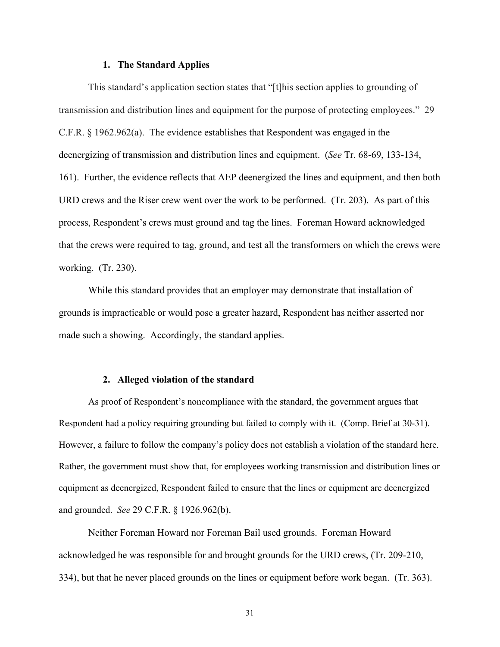#### **1. The Standard Applies**

 This standard's application section states that "[t]his section applies to grounding of transmission and distribution lines and equipment for the purpose of protecting employees." 29 C.F.R. § 1962.962(a). The evidence establishes that Respondent was engaged in the deenergizing of transmission and distribution lines and equipment. (*See* Tr. 68-69, 133-134, 161). Further, the evidence reflects that AEP deenergized the lines and equipment, and then both URD crews and the Riser crew went over the work to be performed. (Tr. 203). As part of this process, Respondent's crews must ground and tag the lines. Foreman Howard acknowledged that the crews were required to tag, ground, and test all the transformers on which the crews were working. (Tr. 230).

 While this standard provides that an employer may demonstrate that installation of grounds is impracticable or would pose a greater hazard, Respondent has neither asserted nor made such a showing. Accordingly, the standard applies.

#### **2. Alleged violation of the standard**

 As proof of Respondent's noncompliance with the standard, the government argues that Respondent had a policy requiring grounding but failed to comply with it. (Comp. Brief at 30-31). However, a failure to follow the company's policy does not establish a violation of the standard here. Rather, the government must show that, for employees working transmission and distribution lines or equipment as deenergized, Respondent failed to ensure that the lines or equipment are deenergized and grounded. *See* 29 C.F.R. § 1926.962(b).

Neither Foreman Howard nor Foreman Bail used grounds. Foreman Howard acknowledged he was responsible for and brought grounds for the URD crews, (Tr. 209-210, 334), but that he never placed grounds on the lines or equipment before work began. (Tr. 363).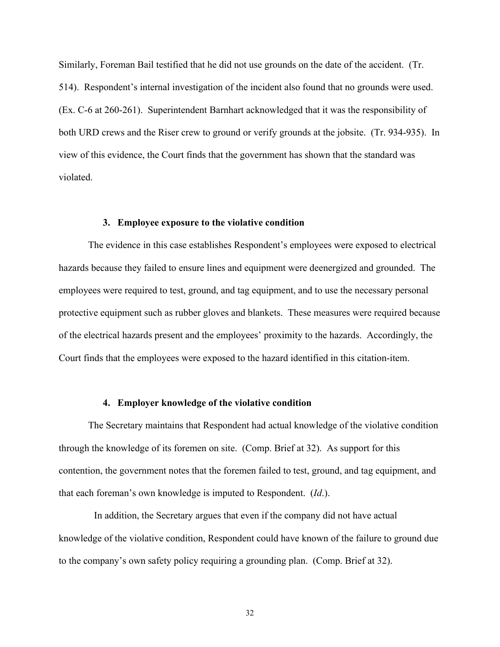Similarly, Foreman Bail testified that he did not use grounds on the date of the accident. (Tr. 514). Respondent's internal investigation of the incident also found that no grounds were used. (Ex. C-6 at 260-261). Superintendent Barnhart acknowledged that it was the responsibility of both URD crews and the Riser crew to ground or verify grounds at the jobsite. (Tr. 934-935). In view of this evidence, the Court finds that the government has shown that the standard was violated.

## **3. Employee exposure to the violative condition**

The evidence in this case establishes Respondent's employees were exposed to electrical hazards because they failed to ensure lines and equipment were deenergized and grounded. The employees were required to test, ground, and tag equipment, and to use the necessary personal protective equipment such as rubber gloves and blankets. These measures were required because of the electrical hazards present and the employees' proximity to the hazards. Accordingly, the Court finds that the employees were exposed to the hazard identified in this citation-item.

#### **4. Employer knowledge of the violative condition**

The Secretary maintains that Respondent had actual knowledge of the violative condition through the knowledge of its foremen on site. (Comp. Brief at 32). As support for this contention, the government notes that the foremen failed to test, ground, and tag equipment, and that each foreman's own knowledge is imputed to Respondent. (*Id*.).

 In addition, the Secretary argues that even if the company did not have actual knowledge of the violative condition, Respondent could have known of the failure to ground due to the company's own safety policy requiring a grounding plan. (Comp. Brief at 32).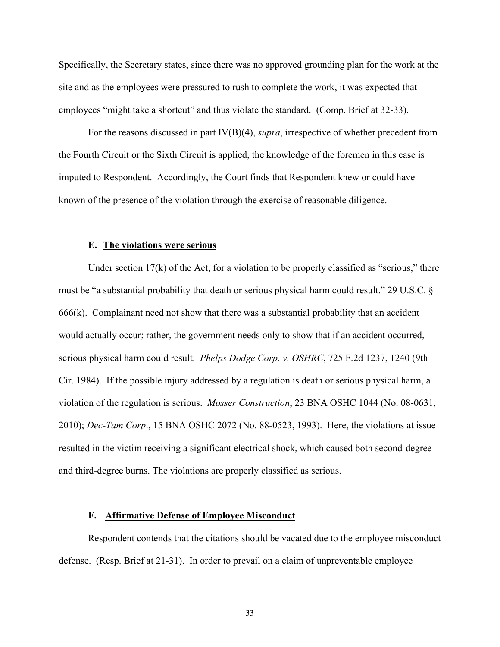Specifically, the Secretary states, since there was no approved grounding plan for the work at the site and as the employees were pressured to rush to complete the work, it was expected that employees "might take a shortcut" and thus violate the standard. (Comp. Brief at 32-33).

For the reasons discussed in part IV(B)(4), *supra*, irrespective of whether precedent from the Fourth Circuit or the Sixth Circuit is applied, the knowledge of the foremen in this case is imputed to Respondent. Accordingly, the Court finds that Respondent knew or could have known of the presence of the violation through the exercise of reasonable diligence.

## **E. The violations were serious**

 Under section 17(k) of the Act, for a violation to be properly classified as "serious," there must be "a substantial probability that death or serious physical harm could result." 29 U.S.C. §  $666(k)$ . Complainant need not show that there was a substantial probability that an accident would actually occur; rather, the government needs only to show that if an accident occurred, serious physical harm could result. *Phelps Dodge Corp. v. OSHRC*, 725 F.2d 1237, 1240 (9th Cir. 1984). If the possible injury addressed by a regulation is death or serious physical harm, a violation of the regulation is serious. *Mosser Construction*, 23 BNA OSHC 1044 (No. 08-0631, 2010); *Dec-Tam Corp*., 15 BNA OSHC 2072 (No. 88-0523, 1993). Here, the violations at issue resulted in the victim receiving a significant electrical shock, which caused both second-degree and third-degree burns. The violations are properly classified as serious.

### **F. Affirmative Defense of Employee Misconduct**

 Respondent contends that the citations should be vacated due to the employee misconduct defense. (Resp. Brief at 21-31). In order to prevail on a claim of unpreventable employee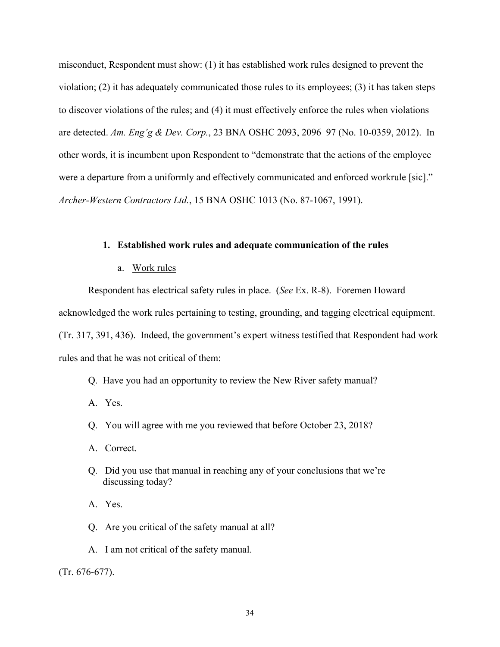misconduct, Respondent must show: (1) it has established work rules designed to prevent the violation; (2) it has adequately communicated those rules to its employees; (3) it has taken steps to discover violations of the rules; and (4) it must effectively enforce the rules when violations are detected. *Am. Eng'g & Dev. Corp.*, 23 BNA OSHC 2093, 2096–97 (No. 10-0359, 2012). In other words, it is incumbent upon Respondent to "demonstrate that the actions of the employee were a departure from a uniformly and effectively communicated and enforced workrule [sic]." *Archer-Western Contractors Ltd.*, 15 BNA OSHC 1013 (No. 87-1067, 1991).

## **1. Established work rules and adequate communication of the rules**

#### a. Work rules

Respondent has electrical safety rules in place. (*See* Ex. R-8). Foremen Howard

acknowledged the work rules pertaining to testing, grounding, and tagging electrical equipment.

(Tr. 317, 391, 436). Indeed, the government's expert witness testified that Respondent had work rules and that he was not critical of them:

Q. Have you had an opportunity to review the New River safety manual?

A. Yes.

Q. You will agree with me you reviewed that before October 23, 2018?

A. Correct.

Q. Did you use that manual in reaching any of your conclusions that we're discussing today?

A. Yes.

Q. Are you critical of the safety manual at all?

A. I am not critical of the safety manual.

(Tr. 676-677).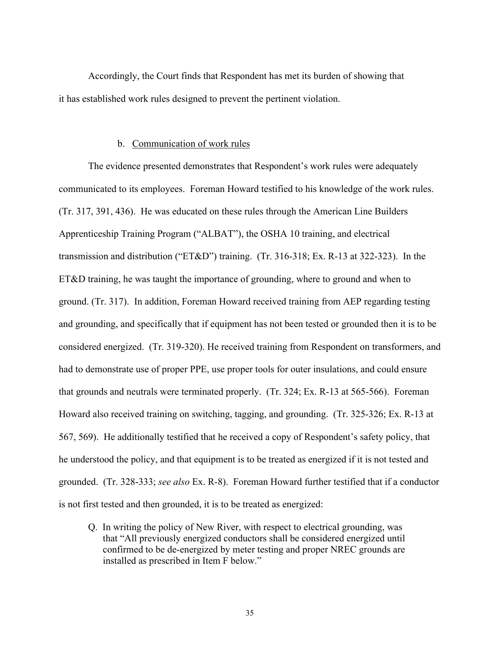Accordingly, the Court finds that Respondent has met its burden of showing that it has established work rules designed to prevent the pertinent violation.

## b. Communication of work rules

The evidence presented demonstrates that Respondent's work rules were adequately communicated to its employees. Foreman Howard testified to his knowledge of the work rules. (Tr. 317, 391, 436). He was educated on these rules through the American Line Builders Apprenticeship Training Program ("ALBAT"), the OSHA 10 training, and electrical transmission and distribution ("ET&D") training. (Tr. 316-318; Ex. R-13 at 322-323). In the ET&D training, he was taught the importance of grounding, where to ground and when to ground. (Tr. 317). In addition, Foreman Howard received training from AEP regarding testing and grounding, and specifically that if equipment has not been tested or grounded then it is to be considered energized. (Tr. 319-320). He received training from Respondent on transformers, and had to demonstrate use of proper PPE, use proper tools for outer insulations, and could ensure that grounds and neutrals were terminated properly. (Tr. 324; Ex. R-13 at 565-566). Foreman Howard also received training on switching, tagging, and grounding. (Tr. 325-326; Ex. R-13 at 567, 569). He additionally testified that he received a copy of Respondent's safety policy, that he understood the policy, and that equipment is to be treated as energized if it is not tested and grounded. (Tr. 328-333; *see also* Ex. R-8). Foreman Howard further testified that if a conductor is not first tested and then grounded, it is to be treated as energized:

Q. In writing the policy of New River, with respect to electrical grounding, was that "All previously energized conductors shall be considered energized until confirmed to be de-energized by meter testing and proper NREC grounds are installed as prescribed in Item F below."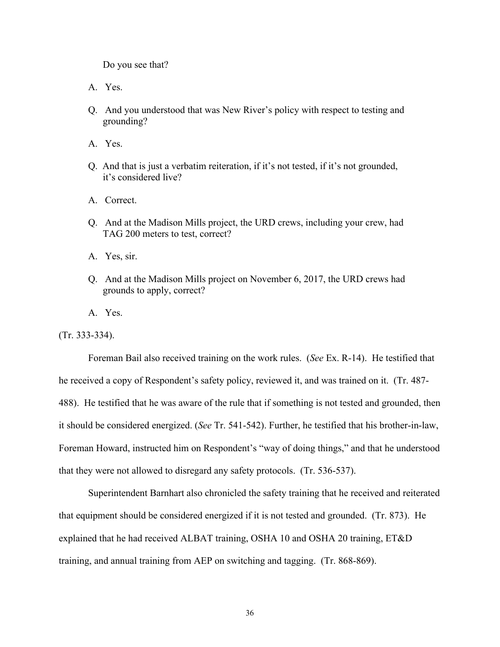Do you see that?

- A. Yes.
- Q. And you understood that was New River's policy with respect to testing and grounding?
- A. Yes.
- Q. And that is just a verbatim reiteration, if it's not tested, if it's not grounded, it's considered live?
- A. Correct.
- Q. And at the Madison Mills project, the URD crews, including your crew, had TAG 200 meters to test, correct?
- A. Yes, sir.
- Q. And at the Madison Mills project on November 6, 2017, the URD crews had grounds to apply, correct?
- A. Yes.

(Tr. 333-334).

Foreman Bail also received training on the work rules. (*See* Ex. R-14). He testified that he received a copy of Respondent's safety policy, reviewed it, and was trained on it. (Tr. 487- 488). He testified that he was aware of the rule that if something is not tested and grounded, then it should be considered energized. (*See* Tr. 541-542). Further, he testified that his brother-in-law, Foreman Howard, instructed him on Respondent's "way of doing things," and that he understood that they were not allowed to disregard any safety protocols. (Tr. 536-537).

 Superintendent Barnhart also chronicled the safety training that he received and reiterated that equipment should be considered energized if it is not tested and grounded. (Tr. 873). He explained that he had received ALBAT training, OSHA 10 and OSHA 20 training, ET&D training, and annual training from AEP on switching and tagging. (Tr. 868-869).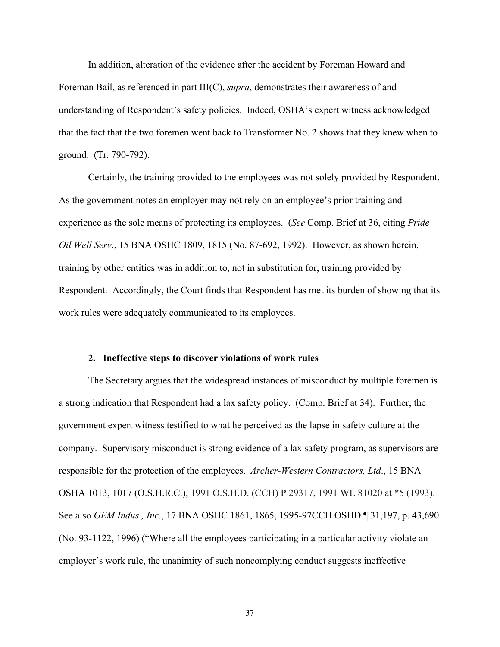In addition, alteration of the evidence after the accident by Foreman Howard and Foreman Bail, as referenced in part III(C), *supra*, demonstrates their awareness of and understanding of Respondent's safety policies. Indeed, OSHA's expert witness acknowledged that the fact that the two foremen went back to Transformer No. 2 shows that they knew when to ground. (Tr. 790-792).

 Certainly, the training provided to the employees was not solely provided by Respondent. As the government notes an employer may not rely on an employee's prior training and experience as the sole means of protecting its employees. (*See* Comp. Brief at 36, citing *Pride Oil Well Serv*., 15 BNA OSHC 1809, 1815 (No. 87-692, 1992). However, as shown herein, training by other entities was in addition to, not in substitution for, training provided by Respondent. Accordingly, the Court finds that Respondent has met its burden of showing that its work rules were adequately communicated to its employees.

#### **2. Ineffective steps to discover violations of work rules**

The Secretary argues that the widespread instances of misconduct by multiple foremen is a strong indication that Respondent had a lax safety policy. (Comp. Brief at 34). Further, the government expert witness testified to what he perceived as the lapse in safety culture at the company. Supervisory misconduct is strong evidence of a lax safety program, as supervisors are responsible for the protection of the employees. *Archer-Western Contractors, Ltd*., 15 BNA OSHA 1013, 1017 (O.S.H.R.C.), 1991 O.S.H.D. (CCH) P 29317, 1991 WL 81020 at \*5 (1993). See also *GEM Indus., Inc.*[, 17 BNA OSHC 1861, 1865, 1995-97C](https://1.next.westlaw.com/Link/Document/FullText?findType=Y&serNum=1996594541&pubNum=0003227&originatingDoc=Iff93117ef94a11e1b60bb297d3d07bc5&refType=CA&fi=co_pp_sp_3227_1865&originationContext=document&transitionType=DocumentItem&contextData=(sc.Search)#co_pp_sp_3227_1865)CH OSHD ¶ 31,197, p. 43,690 (No. 93-1122, 1996) ("Where all the employees participating in a particular activity violate an employer's work rule, the unanimity of such noncomplying conduct suggests ineffective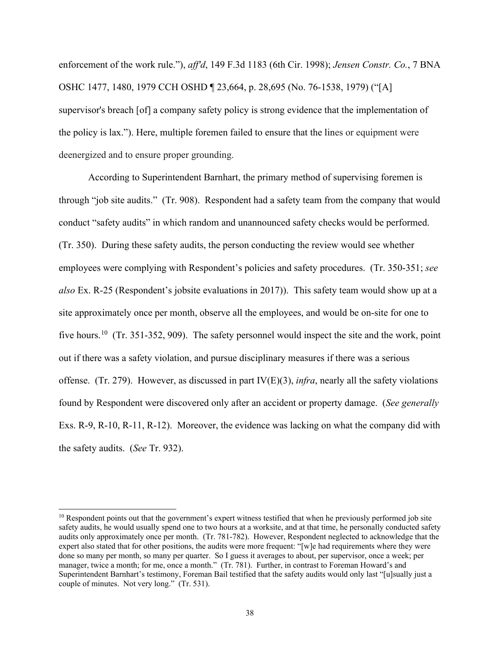enforcement of the work rule."), *aff'd*, [149 F.3d 1183 \(6th Cir. 1998\);](https://1.next.westlaw.com/Link/Document/FullText?findType=Y&serNum=1998129368&pubNum=506&originatingDoc=Iff93117ef94a11e1b60bb297d3d07bc5&refType=RP&originationContext=document&transitionType=DocumentItem&contextData=(sc.Search)) *[Jensen Constr. Co.](https://1.next.westlaw.com/Link/Document/FullText?findType=Y&serNum=1979159657&pubNum=0003227&originatingDoc=Iff93117ef94a11e1b60bb297d3d07bc5&refType=CA&fi=co_pp_sp_3227_1480&originationContext=document&transitionType=DocumentItem&contextData=(sc.Search)#co_pp_sp_3227_1480)*, 7 BNA [OSHC 1477, 1480, 1979](https://1.next.westlaw.com/Link/Document/FullText?findType=Y&serNum=1979159657&pubNum=0003227&originatingDoc=Iff93117ef94a11e1b60bb297d3d07bc5&refType=CA&fi=co_pp_sp_3227_1480&originationContext=document&transitionType=DocumentItem&contextData=(sc.Search)#co_pp_sp_3227_1480) CCH OSHD ¶ 23,664, p. 28,695 (No. 76-1538, 1979) ("[A] supervisor's breach [of] a company safety policy is strong evidence that the implementation of the policy is lax."). Here, multiple foremen failed to ensure that the lines or equipment were deenergized and to ensure proper grounding.

 According to Superintendent Barnhart, the primary method of supervising foremen is through "job site audits." (Tr. 908). Respondent had a safety team from the company that would conduct "safety audits" in which random and unannounced safety checks would be performed. (Tr. 350). During these safety audits, the person conducting the review would see whether employees were complying with Respondent's policies and safety procedures. (Tr. 350-351; *see also* Ex. R-25 (Respondent's jobsite evaluations in 2017)). This safety team would show up at a site approximately once per month, observe all the employees, and would be on-site for one to five hours.<sup>10</sup> (Tr. 351-352, 909). The safety personnel would inspect the site and the work, point out if there was a safety violation, and pursue disciplinary measures if there was a serious offense. (Tr. 279). However, as discussed in part IV(E)(3), *infra*, nearly all the safety violations found by Respondent were discovered only after an accident or property damage. (*See generally* Exs. R-9, R-10, R-11, R-12). Moreover, the evidence was lacking on what the company did with the safety audits. (*See* Tr. 932).

<span id="page-37-0"></span> $10$  Respondent points out that the government's expert witness testified that when he previously performed job site safety audits, he would usually spend one to two hours at a worksite, and at that time, he personally conducted safety audits only approximately once per month. (Tr. 781-782). However, Respondent neglected to acknowledge that the expert also stated that for other positions, the audits were more frequent: "[w]e had requirements where they were done so many per month, so many per quarter. So I guess it averages to about, per supervisor, once a week; per manager, twice a month; for me, once a month." (Tr. 781). Further, in contrast to Foreman Howard's and Superintendent Barnhart's testimony, Foreman Bail testified that the safety audits would only last "[u]sually just a couple of minutes. Not very long." (Tr. 531).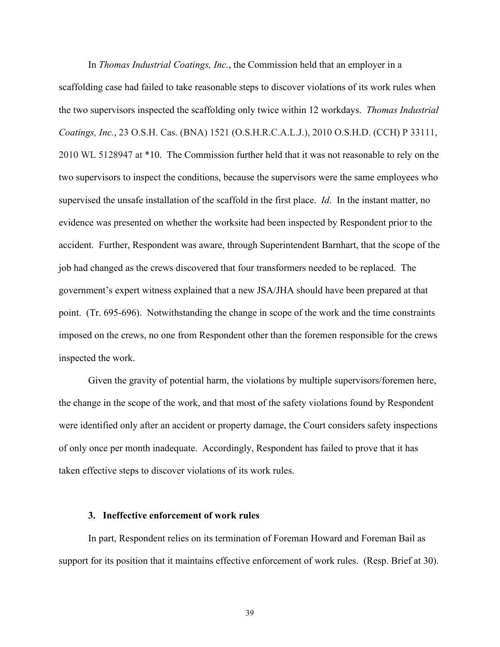In *Thomas Industrial Coatings, Inc.*, the Commission held that an employer in a scaffolding case had failed to take reasonable steps to discover violations of its work rules when the two supervisors inspected the scaffolding only twice within 12 workdays. *Thomas Industrial Coatings, Inc.*, 23 O.S.H. Cas. (BNA) 1521 (O.S.H.R.C.A.L.J.), 2010 O.S.H.D. (CCH) P 33111, 2010 WL 5128947 at \*10. The Commission further held that it was not reasonable to rely on the two supervisors to inspect the conditions, because the supervisors were the same employees who supervised the unsafe installation of the scaffold in the first place. *Id*. In the instant matter, no evidence was presented on whether the worksite had been inspected by Respondent prior to the accident. Further, Respondent was aware, through Superintendent Barnhart, that the scope of the job had changed as the crews discovered that four transformers needed to be replaced. The government's expert witness explained that a new JSA/JHA should have been prepared at that point. (Tr. 695-696). Notwithstanding the change in scope of the work and the time constraints imposed on the crews, no one from Respondent other than the foremen responsible for the crews inspected the work.

 Given the gravity of potential harm, the violations by multiple supervisors/foremen here, the change in the scope of the work, and that most of the safety violations found by Respondent were identified only after an accident or property damage, the Court considers safety inspections of only once per month inadequate. Accordingly, Respondent has failed to prove that it has taken effective steps to discover violations of its work rules.

#### **3. Ineffective enforcement of work rules**

 In part, Respondent relies on its termination of Foreman Howard and Foreman Bail as support for its position that it maintains effective enforcement of work rules. (Resp. Brief at 30).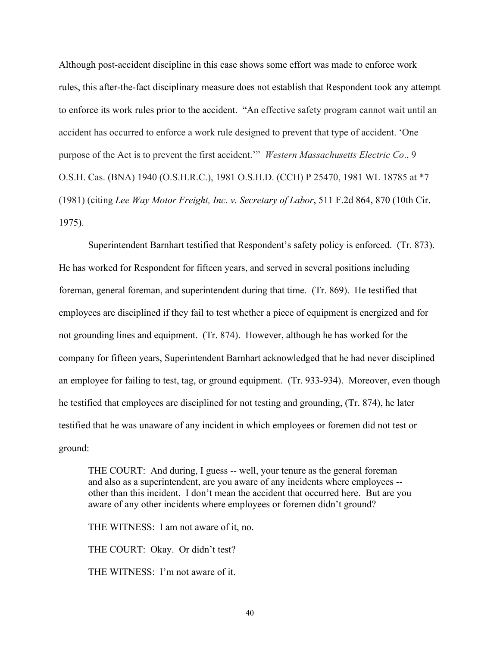Although post-accident discipline in this case shows some effort was made to enforce work rules, this after-the-fact disciplinary measure does not establish that Respondent took any attempt to enforce its work rules prior to the accident. "An effective safety program cannot wait until an accident has occurred to enforce a work rule designed to prevent that type of accident. 'One purpose of the Act is to prevent the first accident.'" *Western Massachusetts Electric Co*., 9 O.S.H. Cas. (BNA) 1940 (O.S.H.R.C.), 1981 O.S.H.D. (CCH) P 25470, 1981 WL 18785 at \*7 (1981) (citing *[Lee Way Motor Freight, Inc. v. Secretary of Labor](https://1.next.westlaw.com/Link/Document/FullText?findType=Y&serNum=1975109844&pubNum=350&originatingDoc=I1f308699fa2811d9bf60c1d57ebc853e&refType=RP&fi=co_pp_sp_350_870&originationContext=document&transitionType=DocumentItem&contextData=(sc.Search)#co_pp_sp_350_870)*, 511 F.2d 864, 870 (10th Cir. [1975\).](https://1.next.westlaw.com/Link/Document/FullText?findType=Y&serNum=1975109844&pubNum=350&originatingDoc=I1f308699fa2811d9bf60c1d57ebc853e&refType=RP&fi=co_pp_sp_350_870&originationContext=document&transitionType=DocumentItem&contextData=(sc.Search)#co_pp_sp_350_870)

 Superintendent Barnhart testified that Respondent's safety policy is enforced. (Tr. 873). He has worked for Respondent for fifteen years, and served in several positions including foreman, general foreman, and superintendent during that time. (Tr. 869). He testified that employees are disciplined if they fail to test whether a piece of equipment is energized and for not grounding lines and equipment. (Tr. 874). However, although he has worked for the company for fifteen years, Superintendent Barnhart acknowledged that he had never disciplined an employee for failing to test, tag, or ground equipment. (Tr. 933-934). Moreover, even though he testified that employees are disciplined for not testing and grounding, (Tr. 874), he later testified that he was unaware of any incident in which employees or foremen did not test or ground:

THE COURT: And during, I guess -- well, your tenure as the general foreman and also as a superintendent, are you aware of any incidents where employees - other than this incident. I don't mean the accident that occurred here. But are you aware of any other incidents where employees or foremen didn't ground?

THE WITNESS: I am not aware of it, no.

THE COURT: Okay. Or didn't test?

THE WITNESS: I'm not aware of it.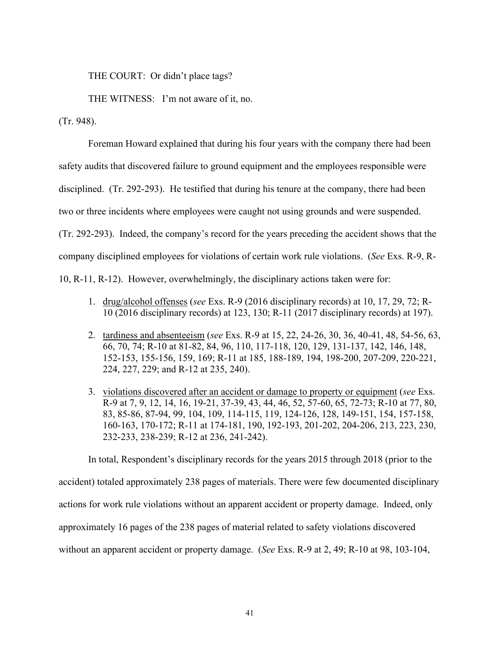THE COURT: Or didn't place tags?

THE WITNESS: I'm not aware of it, no.

(Tr. 948).

 Foreman Howard explained that during his four years with the company there had been safety audits that discovered failure to ground equipment and the employees responsible were disciplined. (Tr. 292-293). He testified that during his tenure at the company, there had been two or three incidents where employees were caught not using grounds and were suspended. (Tr. 292-293). Indeed, the company's record for the years preceding the accident shows that the company disciplined employees for violations of certain work rule violations. (*See* Exs. R-9, R-10, R-11, R-12). However, overwhelmingly, the disciplinary actions taken were for:

- 1. drug/alcohol offenses (*see* Exs. R-9 (2016 disciplinary records) at 10, 17, 29, 72; R-10 (2016 disciplinary records) at 123, 130; R-11 (2017 disciplinary records) at 197).
- 2. tardiness and absenteeism (*see* Exs. R-9 at 15, 22, 24-26, 30, 36, 40-41, 48, 54-56, 63, 66, 70, 74; R-10 at 81-82, 84, 96, 110, 117-118, 120, 129, 131-137, 142, 146, 148, 152-153, 155-156, 159, 169; R-11 at 185, 188-189, 194, 198-200, 207-209, 220-221, 224, 227, 229; and R-12 at 235, 240).
- 3. violations discovered after an accident or damage to property or equipment (*see* Exs. R-9 at 7, 9, 12, 14, 16, 19-21, 37-39, 43, 44, 46, 52, 57-60, 65, 72-73; R-10 at 77, 80, 83, 85-86, 87-94, 99, 104, 109, 114-115, 119, 124-126, 128, 149-151, 154, 157-158, 160-163, 170-172; R-11 at 174-181, 190, 192-193, 201-202, 204-206, 213, 223, 230, 232-233, 238-239; R-12 at 236, 241-242).

 In total, Respondent's disciplinary records for the years 2015 through 2018 (prior to the accident) totaled approximately 238 pages of materials. There were few documented disciplinary actions for work rule violations without an apparent accident or property damage. Indeed, only approximately 16 pages of the 238 pages of material related to safety violations discovered without an apparent accident or property damage. (*See* Exs. R-9 at 2, 49; R-10 at 98, 103-104,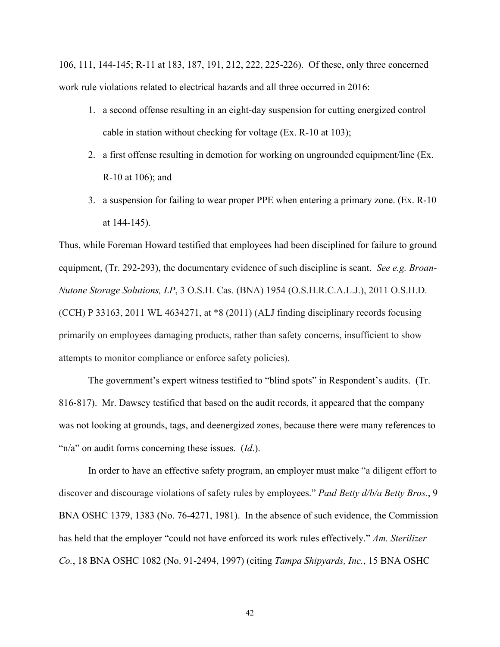106, 111, 144-145; R-11 at 183, 187, 191, 212, 222, 225-226). Of these, only three concerned work rule violations related to electrical hazards and all three occurred in 2016:

- 1. a second offense resulting in an eight-day suspension for cutting energized control cable in station without checking for voltage (Ex. R-10 at 103);
- 2. a first offense resulting in demotion for working on ungrounded equipment/line (Ex. R-10 at 106); and
- 3. a suspension for failing to wear proper PPE when entering a primary zone. (Ex. R-10 at 144-145).

Thus, while Foreman Howard testified that employees had been disciplined for failure to ground equipment, (Tr. 292-293), the documentary evidence of such discipline is scant. *See e.g. Broan-Nutone Storage Solutions, LP*, 3 O.S.H. Cas. (BNA) 1954 (O.S.H.R.C.A.L.J.), 2011 O.S.H.D. (CCH) P 33163, 2011 WL 4634271, at \*8 (2011) (ALJ finding disciplinary records focusing primarily on employees damaging products, rather than safety concerns, insufficient to show attempts to monitor compliance or enforce safety policies).

 The government's expert witness testified to "blind spots" in Respondent's audits. (Tr. 816-817). Mr. Dawsey testified that based on the audit records, it appeared that the company was not looking at grounds, tags, and deenergized zones, because there were many references to "n/a" on audit forms concerning these issues. (*Id*.).

 In order to have an effective safety program, an employer must make "a diligent effort to discover and discourage violations of safety rules by employees." *[Paul Betty d/b/a Betty Bros.](https://1.next.westlaw.com/Link/Document/FullText?findType=Y&serNum=1981247387&pubNum=0003227&originatingDoc=Icbc0bfebb5e311e8bbbcd57aa014637b&refType=CA&fi=co_pp_sp_3227_1383&originationContext=document&transitionType=DocumentItem&contextData=(sc.Search)#co_pp_sp_3227_1383)*, 9 [BNA OSHC 1379, 1383 \(No. 76-4271,](https://1.next.westlaw.com/Link/Document/FullText?findType=Y&serNum=1981247387&pubNum=0003227&originatingDoc=Icbc0bfebb5e311e8bbbcd57aa014637b&refType=CA&fi=co_pp_sp_3227_1383&originationContext=document&transitionType=DocumentItem&contextData=(sc.Search)#co_pp_sp_3227_1383) 1981). In the absence of such evidence, the Commission has held that the employer "could not have enforced its work rules effectively." *[Am. Sterilizer](https://1.next.westlaw.com/Link/Document/FullText?findType=Y&serNum=1997252659&pubNum=0003227&originatingDoc=Icbc0bfebb5e311e8bbbcd57aa014637b&refType=CA&originationContext=document&transitionType=DocumentItem&contextData=(sc.Search))  Co.*[, 18 BNA OSHC 1082 \(No. 91-2494,](https://1.next.westlaw.com/Link/Document/FullText?findType=Y&serNum=1997252659&pubNum=0003227&originatingDoc=Icbc0bfebb5e311e8bbbcd57aa014637b&refType=CA&originationContext=document&transitionType=DocumentItem&contextData=(sc.Search)) 1997) (citing *[Tampa Shipyards, Inc.](https://1.next.westlaw.com/Link/Document/FullText?findType=Y&serNum=1992453577&pubNum=0003227&originatingDoc=Icbc0bfebb5e311e8bbbcd57aa014637b&refType=CA&fi=co_pp_sp_3227_1539&originationContext=document&transitionType=DocumentItem&contextData=(sc.Search)#co_pp_sp_3227_1539)*, 15 BNA OSHC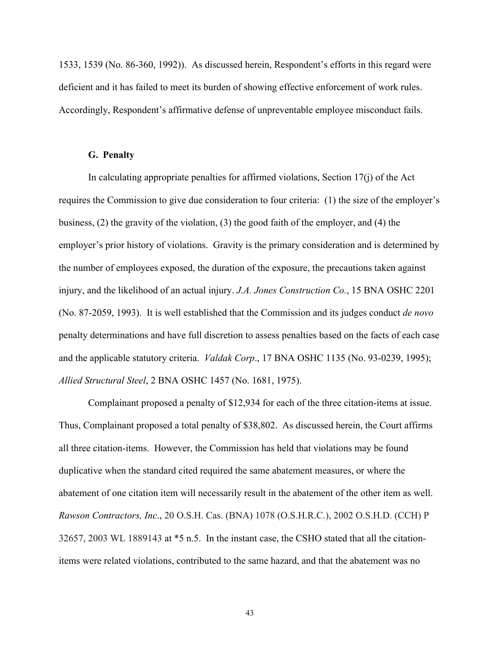[1533, 1539 \(No. 86-360,](https://1.next.westlaw.com/Link/Document/FullText?findType=Y&serNum=1992453577&pubNum=0003227&originatingDoc=Icbc0bfebb5e311e8bbbcd57aa014637b&refType=CA&fi=co_pp_sp_3227_1539&originationContext=document&transitionType=DocumentItem&contextData=(sc.Search)#co_pp_sp_3227_1539) 1992)). As discussed herein, Respondent's efforts in this regard were deficient and it has failed to meet its burden of showing effective enforcement of work rules. Accordingly, Respondent's affirmative defense of unpreventable employee misconduct fails.

## **G. Penalty**

In calculating appropriate penalties for affirmed violations, Section  $17(i)$  of the Act requires the Commission to give due consideration to four criteria: (1) the size of the employer's business, (2) the gravity of the violation, (3) the good faith of the employer, and (4) the employer's prior history of violations. Gravity is the primary consideration and is determined by the number of employees exposed, the duration of the exposure, the precautions taken against injury, and the likelihood of an actual injury. *J.A. Jones Construction Co.*, 15 BNA OSHC 2201 (No. 87-2059, 1993). It is well established that the Commission and its judges conduct *de novo* penalty determinations and have full discretion to assess penalties based on the facts of each case and the applicable statutory criteria. *Valdak Corp*., 17 BNA OSHC 1135 (No. 93-0239, 1995); *Allied Structural Steel*, 2 BNA OSHC 1457 (No. 1681, 1975).

 Complainant proposed a penalty of \$12,934 for each of the three citation-items at issue. Thus, Complainant proposed a total penalty of \$38,802. As discussed herein, the Court affirms all three citation-items. However, the Commission has held that violations may be found duplicative when the standard cited required the same abatement measures, or where the abatement of one citation item will necessarily result in the abatement of the other item as well. *Rawson Contractors, Inc*., 20 O.S.H. Cas. (BNA) 1078 (O.S.H.R.C.), 2002 O.S.H.D. (CCH) P 32657, 2003 WL 1889143 at \*5 n.5. In the instant case, the CSHO stated that all the citationitems were related violations, contributed to the same hazard, and that the abatement was no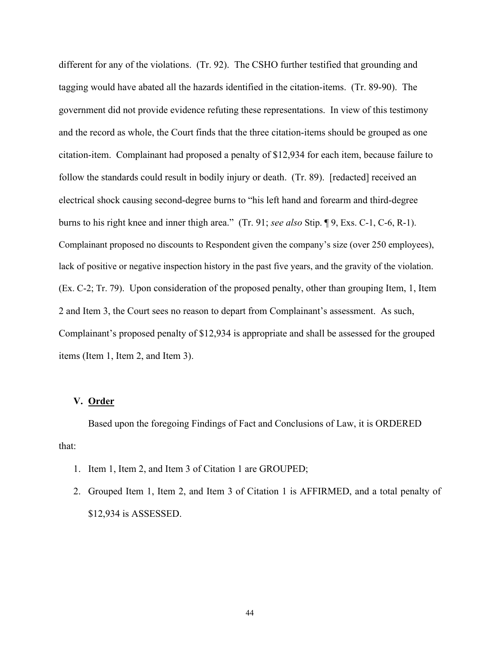different for any of the violations. (Tr. 92). The CSHO further testified that grounding and tagging would have abated all the hazards identified in the citation-items. (Tr. 89-90). The government did not provide evidence refuting these representations. In view of this testimony and the record as whole, the Court finds that the three citation-items should be grouped as one citation-item. Complainant had proposed a penalty of \$12,934 for each item, because failure to follow the standards could result in bodily injury or death. (Tr. 89). [redacted] received an electrical shock causing second-degree burns to "his left hand and forearm and third-degree burns to his right knee and inner thigh area." (Tr. 91; *see also* Stip. ¶ 9, Exs. C-1, C-6, R-1). Complainant proposed no discounts to Respondent given the company's size (over 250 employees), lack of positive or negative inspection history in the past five years, and the gravity of the violation. (Ex. C-2; Tr. 79). Upon consideration of the proposed penalty, other than grouping Item, 1, Item 2 and Item 3, the Court sees no reason to depart from Complainant's assessment. As such, Complainant's proposed penalty of \$12,934 is appropriate and shall be assessed for the grouped items (Item 1, Item 2, and Item 3).

## **V. Order**

 Based upon the foregoing Findings of Fact and Conclusions of Law, it is ORDERED that:

- 1. Item 1, Item 2, and Item 3 of Citation 1 are GROUPED;
- 2. Grouped Item 1, Item 2, and Item 3 of Citation 1 is AFFIRMED, and a total penalty of \$12,934 is ASSESSED.